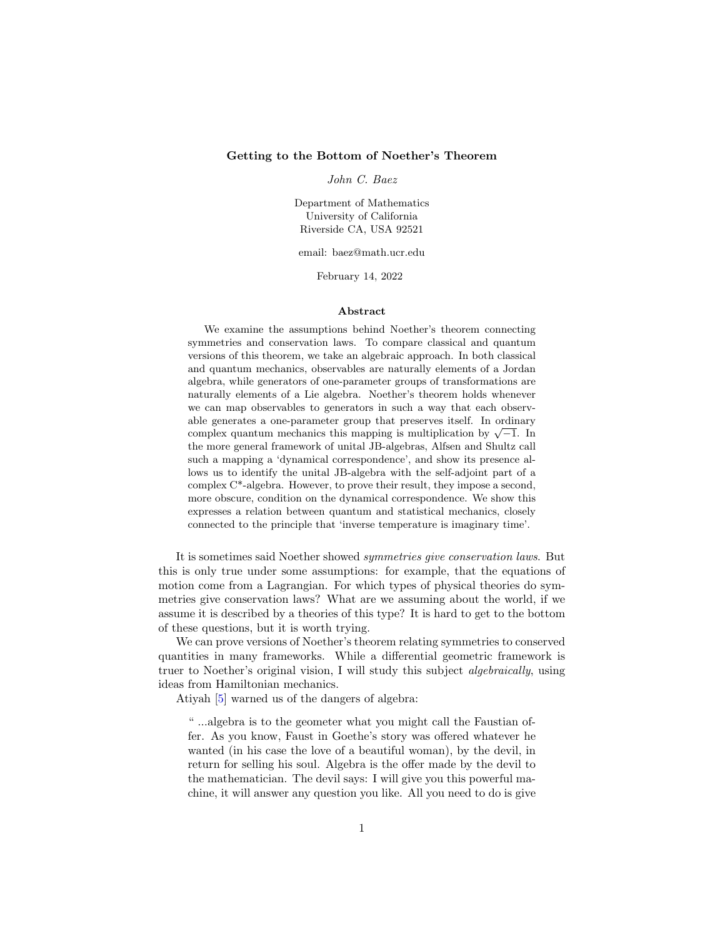### <span id="page-0-0"></span>Getting to the Bottom of Noether's Theorem

John C. Baez

Department of Mathematics University of California Riverside CA, USA 92521

email: baez@math.ucr.edu

February 14, 2022

### Abstract

We examine the assumptions behind Noether's theorem connecting symmetries and conservation laws. To compare classical and quantum versions of this theorem, we take an algebraic approach. In both classical and quantum mechanics, observables are naturally elements of a Jordan algebra, while generators of one-parameter groups of transformations are naturally elements of a Lie algebra. Noether's theorem holds whenever we can map observables to generators in such a way that each observable generates a one-parameter group that preserves itself. In ordinary able generates a one-parameter group that preserves itself. In ordinary complex quantum mechanics this mapping is multiplication by  $\sqrt{-1}$ . In the more general framework of unital JB-algebras, Alfsen and Shultz call such a mapping a 'dynamical correspondence', and show its presence allows us to identify the unital JB-algebra with the self-adjoint part of a complex C\*-algebra. However, to prove their result, they impose a second, more obscure, condition on the dynamical correspondence. We show this expresses a relation between quantum and statistical mechanics, closely connected to the principle that 'inverse temperature is imaginary time'.

It is sometimes said Noether showed symmetries give conservation laws. But this is only true under some assumptions: for example, that the equations of motion come from a Lagrangian. For which types of physical theories do symmetries give conservation laws? What are we assuming about the world, if we assume it is described by a theories of this type? It is hard to get to the bottom of these questions, but it is worth trying.

We can prove versions of Noether's theorem relating symmetries to conserved quantities in many frameworks. While a differential geometric framework is truer to Noether's original vision, I will study this subject algebraically, using ideas from Hamiltonian mechanics.

Atiyah [\[5\]](#page-34-0) warned us of the dangers of algebra:

" ...algebra is to the geometer what you might call the Faustian offer. As you know, Faust in Goethe's story was offered whatever he wanted (in his case the love of a beautiful woman), by the devil, in return for selling his soul. Algebra is the offer made by the devil to the mathematician. The devil says: I will give you this powerful machine, it will answer any question you like. All you need to do is give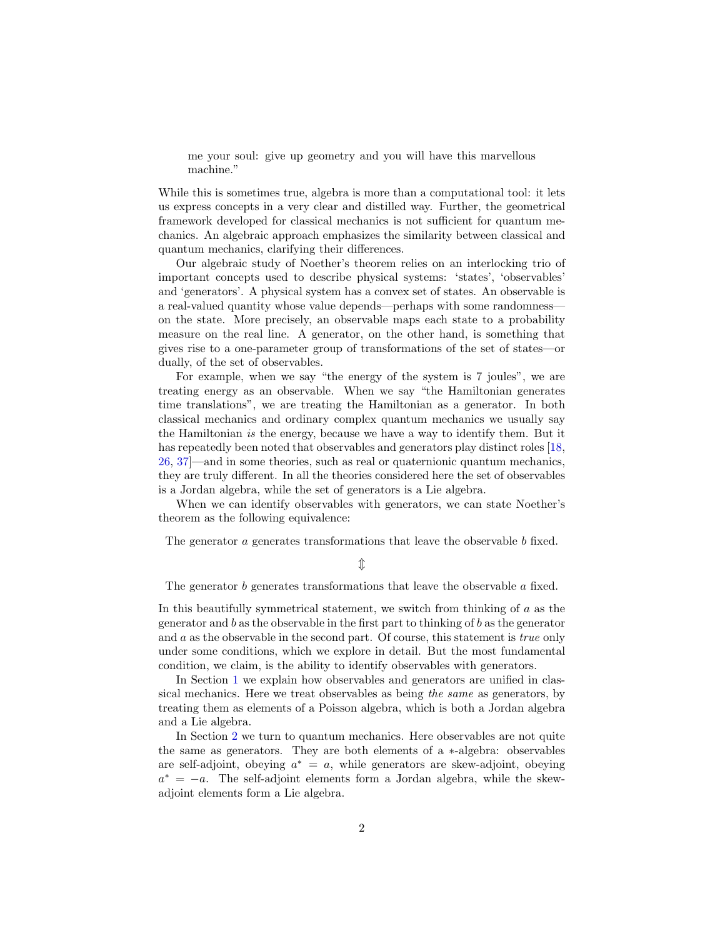<span id="page-1-0"></span>me your soul: give up geometry and you will have this marvellous machine."

While this is sometimes true, algebra is more than a computational tool: it lets us express concepts in a very clear and distilled way. Further, the geometrical framework developed for classical mechanics is not sufficient for quantum mechanics. An algebraic approach emphasizes the similarity between classical and quantum mechanics, clarifying their differences.

Our algebraic study of Noether's theorem relies on an interlocking trio of important concepts used to describe physical systems: 'states', 'observables' and 'generators'. A physical system has a convex set of states. An observable is a real-valued quantity whose value depends—perhaps with some randomness on the state. More precisely, an observable maps each state to a probability measure on the real line. A generator, on the other hand, is something that gives rise to a one-parameter group of transformations of the set of states—or dually, of the set of observables.

For example, when we say "the energy of the system is 7 joules", we are treating energy as an observable. When we say "the Hamiltonian generates time translations", we are treating the Hamiltonian as a generator. In both classical mechanics and ordinary complex quantum mechanics we usually say the Hamiltonian is the energy, because we have a way to identify them. But it has repeatedly been noted that observables and generators play distinct roles [\[18,](#page-35-0) [26,](#page-35-1) [37\]](#page-36-0)—and in some theories, such as real or quaternionic quantum mechanics, they are truly different. In all the theories considered here the set of observables is a Jordan algebra, while the set of generators is a Lie algebra.

When we can identify observables with generators, we can state Noether's theorem as the following equivalence:

The generator a generates transformations that leave the observable b fixed.

### $\mathbb{\hat{I}}$

The generator b generates transformations that leave the observable a fixed.

In this beautifully symmetrical statement, we switch from thinking of a as the generator and  $b$  as the observable in the first part to thinking of  $b$  as the generator and  $a$  as the observable in the second part. Of course, this statement is *true* only under some conditions, which we explore in detail. But the most fundamental condition, we claim, is the ability to identify observables with generators.

In Section [1](#page-5-0) we explain how observables and generators are unified in classical mechanics. Here we treat observables as being the same as generators, by treating them as elements of a Poisson algebra, which is both a Jordan algebra and a Lie algebra.

In Section [2](#page-11-0) we turn to quantum mechanics. Here observables are not quite the same as generators. They are both elements of a ∗-algebra: observables are self-adjoint, obeying  $a^* = a$ , while generators are skew-adjoint, obeying  $a^* = -a$ . The self-adjoint elements form a Jordan algebra, while the skewadjoint elements form a Lie algebra.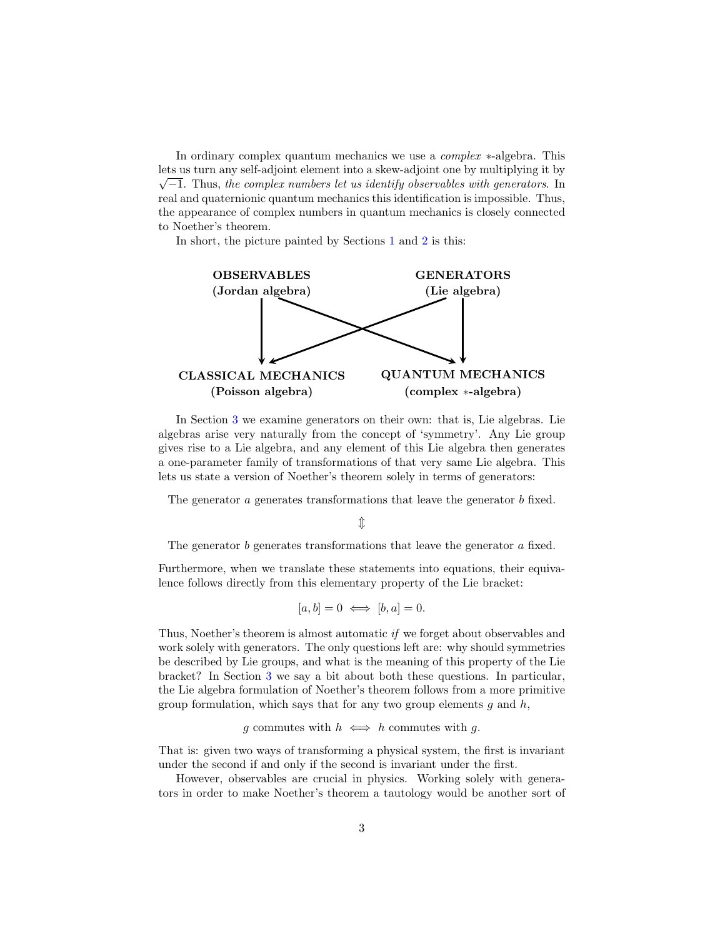In ordinary complex quantum mechanics we use a complex ∗-algebra. This lets us turn any self-adjoint element into a skew-adjoint one by multiplying it by √  $\sqrt{-1}$ . Thus, the complex numbers let us identify observables with generators. In real and quaternionic quantum mechanics this identification is impossible. Thus, the appearance of complex numbers in quantum mechanics is closely connected to Noether's theorem.

In short, the picture painted by Sections [1](#page-5-0) and [2](#page-11-0) is this:



In Section [3](#page-19-0) we examine generators on their own: that is, Lie algebras. Lie algebras arise very naturally from the concept of 'symmetry'. Any Lie group gives rise to a Lie algebra, and any element of this Lie algebra then generates a one-parameter family of transformations of that very same Lie algebra. This lets us state a version of Noether's theorem solely in terms of generators:

The generator a generates transformations that leave the generator b fixed.

 $\mathbb{I}$ 

The generator *b* generates transformations that leave the generator *a* fixed.

Furthermore, when we translate these statements into equations, their equivalence follows directly from this elementary property of the Lie bracket:

$$
[a, b] = 0 \iff [b, a] = 0.
$$

Thus, Noether's theorem is almost automatic if we forget about observables and work solely with generators. The only questions left are: why should symmetries be described by Lie groups, and what is the meaning of this property of the Lie bracket? In Section [3](#page-19-0) we say a bit about both these questions. In particular, the Lie algebra formulation of Noether's theorem follows from a more primitive group formulation, which says that for any two group elements  $g$  and  $h$ ,

g commutes with  $h \iff h$  commutes with g.

That is: given two ways of transforming a physical system, the first is invariant under the second if and only if the second is invariant under the first.

However, observables are crucial in physics. Working solely with generators in order to make Noether's theorem a tautology would be another sort of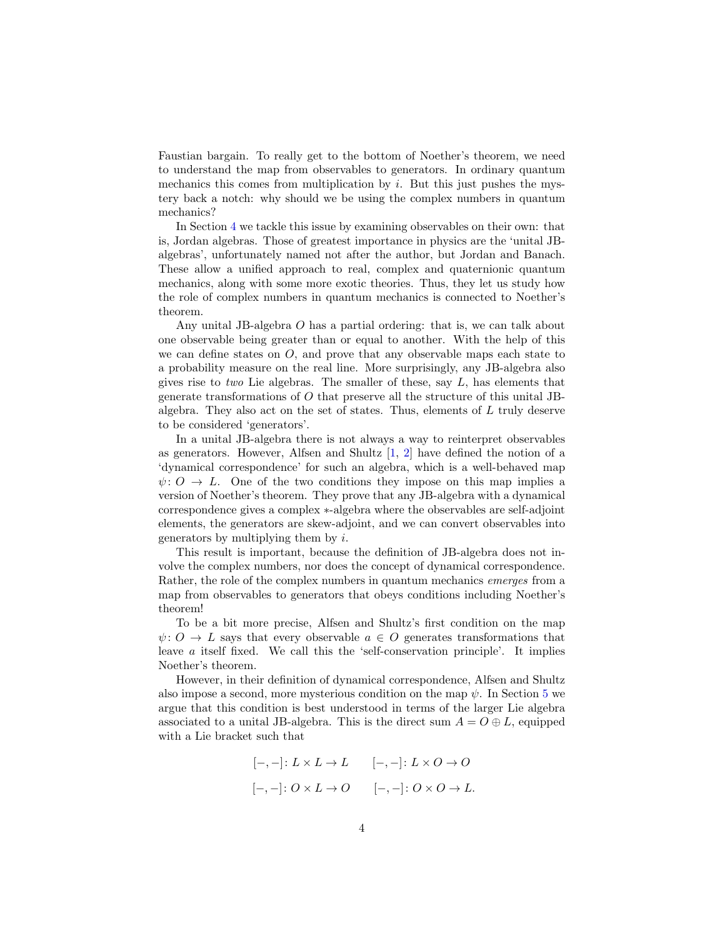<span id="page-3-0"></span>Faustian bargain. To really get to the bottom of Noether's theorem, we need to understand the map from observables to generators. In ordinary quantum mechanics this comes from multiplication by i. But this just pushes the mystery back a notch: why should we be using the complex numbers in quantum mechanics?

In Section [4](#page-23-0) we tackle this issue by examining observables on their own: that is, Jordan algebras. Those of greatest importance in physics are the 'unital JBalgebras', unfortunately named not after the author, but Jordan and Banach. These allow a unified approach to real, complex and quaternionic quantum mechanics, along with some more exotic theories. Thus, they let us study how the role of complex numbers in quantum mechanics is connected to Noether's theorem.

Any unital JB-algebra O has a partial ordering: that is, we can talk about one observable being greater than or equal to another. With the help of this we can define states on  $O$ , and prove that any observable maps each state to a probability measure on the real line. More surprisingly, any JB-algebra also gives rise to two Lie algebras. The smaller of these, say  $L$ , has elements that generate transformations of O that preserve all the structure of this unital JBalgebra. They also act on the set of states. Thus, elements of  $L$  truly deserve to be considered 'generators'.

In a unital JB-algebra there is not always a way to reinterpret observables as generators. However, Alfsen and Shultz [\[1,](#page-34-1) [2\]](#page-34-2) have defined the notion of a 'dynamical correspondence' for such an algebra, which is a well-behaved map  $\psi: O \to L$ . One of the two conditions they impose on this map implies a version of Noether's theorem. They prove that any JB-algebra with a dynamical correspondence gives a complex ∗-algebra where the observables are self-adjoint elements, the generators are skew-adjoint, and we can convert observables into generators by multiplying them by  $i$ .

This result is important, because the definition of JB-algebra does not involve the complex numbers, nor does the concept of dynamical correspondence. Rather, the role of the complex numbers in quantum mechanics *emerges* from a map from observables to generators that obeys conditions including Noether's theorem!

To be a bit more precise, Alfsen and Shultz's first condition on the map  $\psi: O \to L$  says that every observable  $a \in O$  generates transformations that leave a itself fixed. We call this the 'self-conservation principle'. It implies Noether's theorem.

However, in their definition of dynamical correspondence, Alfsen and Shultz also impose a second, more mysterious condition on the map  $\psi$ . In Section [5](#page-31-0) we argue that this condition is best understood in terms of the larger Lie algebra associated to a unital JB-algebra. This is the direct sum  $A = O \oplus L$ , equipped with a Lie bracket such that

$$
[-,-]: L \times L \to L \qquad [-,-]: L \times O \to O
$$

$$
[-,-]: O \times L \to O \qquad [-,-]: O \times O \to L.
$$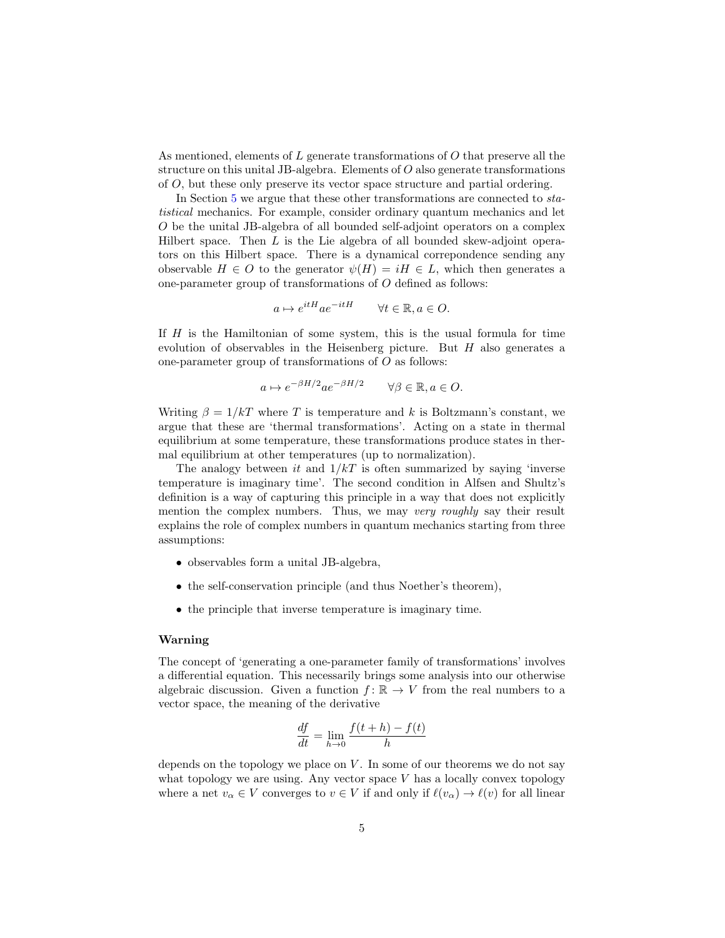As mentioned, elements of  $L$  generate transformations of  $O$  that preserve all the structure on this unital JB-algebra. Elements of  $O$  also generate transformations of O, but these only preserve its vector space structure and partial ordering.

In Section [5](#page-31-0) we argue that these other transformations are connected to statistical mechanics. For example, consider ordinary quantum mechanics and let O be the unital JB-algebra of all bounded self-adjoint operators on a complex Hilbert space. Then  $L$  is the Lie algebra of all bounded skew-adjoint operators on this Hilbert space. There is a dynamical correpondence sending any observable  $H \in O$  to the generator  $\psi(H) = iH \in L$ , which then generates a one-parameter group of transformations of O defined as follows:

$$
a \mapsto e^{itH} a e^{-itH} \qquad \forall t \in \mathbb{R}, a \in O.
$$

If  $H$  is the Hamiltonian of some system, this is the usual formula for time evolution of observables in the Heisenberg picture. But  $H$  also generates a one-parameter group of transformations of  $O$  as follows:

$$
a \mapsto e^{-\beta H/2} a e^{-\beta H/2} \quad \forall \beta \in \mathbb{R}, a \in O.
$$

Writing  $\beta = 1/kT$  where T is temperature and k is Boltzmann's constant, we argue that these are 'thermal transformations'. Acting on a state in thermal equilibrium at some temperature, these transformations produce states in thermal equilibrium at other temperatures (up to normalization).

The analogy between it and  $1/kT$  is often summarized by saying 'inverse temperature is imaginary time'. The second condition in Alfsen and Shultz's definition is a way of capturing this principle in a way that does not explicitly mention the complex numbers. Thus, we may very roughly say their result explains the role of complex numbers in quantum mechanics starting from three assumptions:

- observables form a unital JB-algebra,
- the self-conservation principle (and thus Noether's theorem),
- the principle that inverse temperature is imaginary time.

#### Warning

The concept of 'generating a one-parameter family of transformations' involves a differential equation. This necessarily brings some analysis into our otherwise algebraic discussion. Given a function  $f: \mathbb{R} \to V$  from the real numbers to a vector space, the meaning of the derivative

$$
\frac{df}{dt} = \lim_{h \to 0} \frac{f(t+h) - f(t)}{h}
$$

depends on the topology we place on  $V$ . In some of our theorems we do not say what topology we are using. Any vector space  $V$  has a locally convex topology where a net  $v_\alpha \in V$  converges to  $v \in V$  if and only if  $\ell(v_\alpha) \to \ell(v)$  for all linear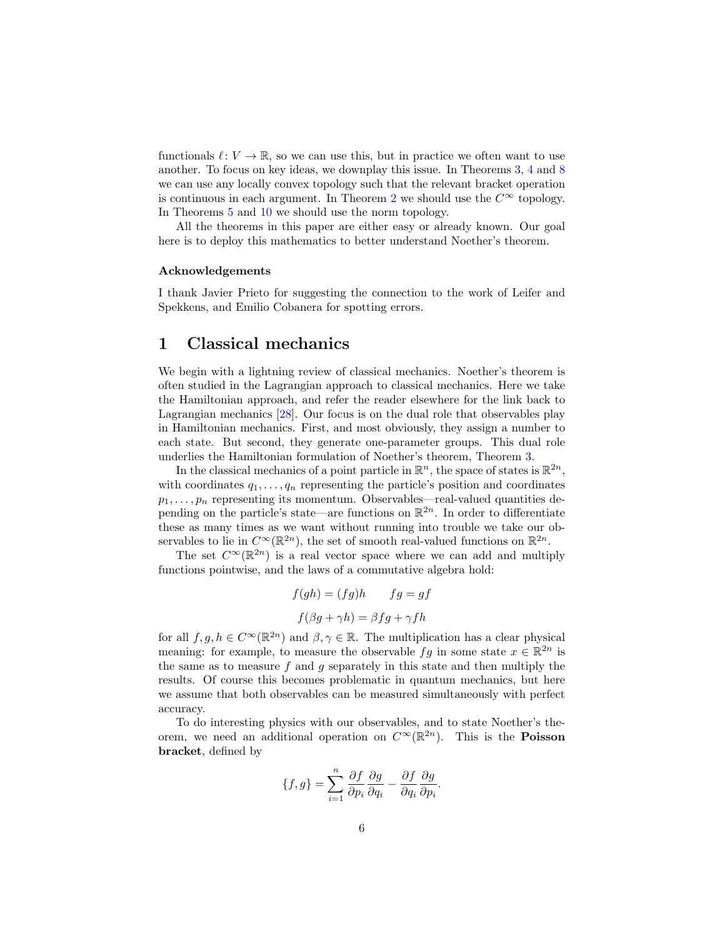<span id="page-5-1"></span>functionals  $\ell : V \to \mathbb{R}$ , so we can use this, but in practice we often want to use another. To focus on key ideas, we downplay this issue. In Theorems [3,](#page-9-0) [4](#page-14-0) and [8](#page-19-1) we can use any locally convex topology such that the relevant bracket operation is continuous in each argument. In Theorem [2](#page-8-0) we should use the  $C^{\infty}$  topology. In Theorems [5](#page-15-0) and [10](#page-21-0) we should use the norm topology.

All the theorems in this paper are either easy or already known. Our goal here is to deploy this mathematics to better understand Noether's theorem.

#### Acknowledgements

I thank Javier Prieto for suggesting the connection to the work of Leifer and Spekkens, and Emilio Cobanera for spotting errors.

# <span id="page-5-0"></span>1 Classical mechanics

We begin with a lightning review of classical mechanics. Noether's theorem is often studied in the Lagrangian approach to classical mechanics. Here we take the Hamiltonian approach, and refer the reader elsewhere for the link back to Lagrangian mechanics [\[28\]](#page-36-1). Our focus is on the dual role that observables play in Hamiltonian mechanics. First, and most obviously, they assign a number to each state. But second, they generate one-parameter groups. This dual role underlies the Hamiltonian formulation of Noether's theorem, Theorem [3.](#page-9-0)

In the classical mechanics of a point particle in  $\mathbb{R}^n$ , the space of states is  $\mathbb{R}^{2n}$ , with coordinates  $q_1, \ldots, q_n$  representing the particle's position and coordinates  $p_1, \ldots, p_n$  representing its momentum. Observables—real-valued quantities depending on the particle's state—are functions on  $\mathbb{R}^{2n}$ . In order to differentiate these as many times as we want without running into trouble we take our observables to lie in  $C^{\infty}(\mathbb{R}^{2n})$ , the set of smooth real-valued functions on  $\mathbb{R}^{2n}$ .

The set  $C^{\infty}(\mathbb{R}^{2n})$  is a real vector space where we can add and multiply functions pointwise, and the laws of a commutative algebra hold:

$$
f(gh) = (fg)h \t\t fg = gf
$$

$$
f(\beta g + \gamma h) = \beta fg + \gamma fh
$$

for all  $f, g, h \in C^{\infty}(\mathbb{R}^{2n})$  and  $\beta, \gamma \in \mathbb{R}$ . The multiplication has a clear physical meaning: for example, to measure the observable  $fg$  in some state  $x \in \mathbb{R}^{2n}$  is the same as to measure f and q separately in this state and then multiply the results. Of course this becomes problematic in quantum mechanics, but here we assume that both observables can be measured simultaneously with perfect accuracy.

To do interesting physics with our observables, and to state Noether's theorem, we need an additional operation on  $C^{\infty}(\mathbb{R}^{2n})$ . This is the **Poisson** bracket, defined by

$$
\{f,g\}=\sum_{i=1}^n\frac{\partial f}{\partial p_i}\frac{\partial g}{\partial q_i}-\frac{\partial f}{\partial q_i}\frac{\partial g}{\partial p_i}.
$$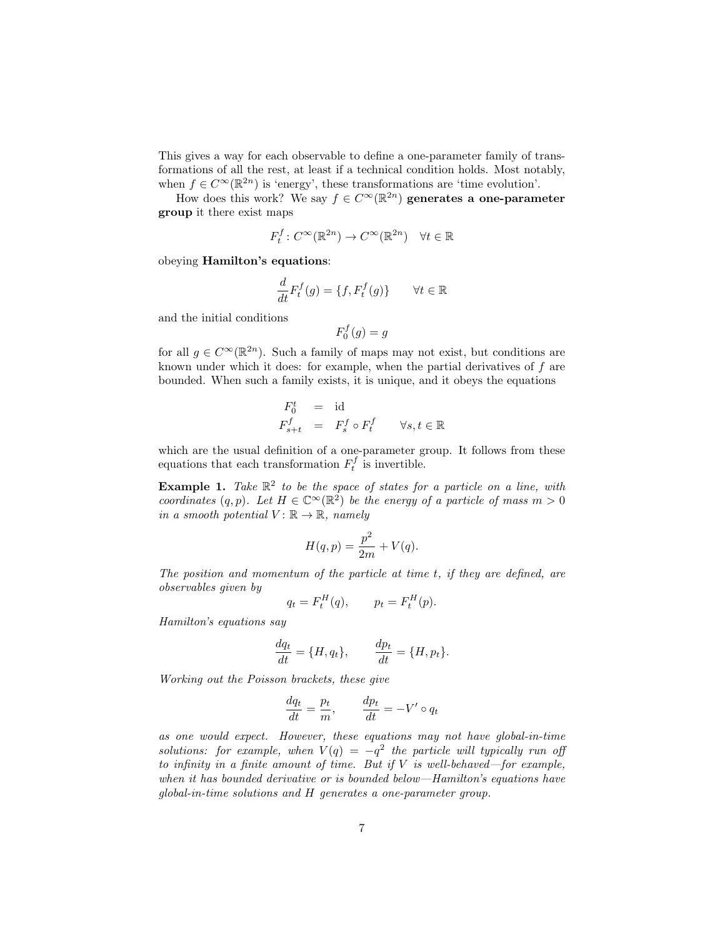This gives a way for each observable to define a one-parameter family of transformations of all the rest, at least if a technical condition holds. Most notably, when  $f \in C^{\infty}(\mathbb{R}^{2n})$  is 'energy', these transformations are 'time evolution'.

How does this work? We say  $f \in C^{\infty}(\mathbb{R}^{2n})$  generates a one-parameter group it there exist maps

$$
F_t^f: C^\infty(\mathbb{R}^{2n}) \to C^\infty(\mathbb{R}^{2n}) \quad \forall t \in \mathbb{R}
$$

obeying Hamilton's equations:

$$
\frac{d}{dt}F_t^f(g)=\{f,F_t^f(g)\}\qquad\forall t\in\mathbb{R}
$$

and the initial conditions

$$
F_0^f(g) = g
$$

for all  $g \in C^{\infty}(\mathbb{R}^{2n})$ . Such a family of maps may not exist, but conditions are known under which it does: for example, when the partial derivatives of f are bounded. When such a family exists, it is unique, and it obeys the equations

$$
F_{0}^{t} = id
$$
  

$$
F_{s+t}^{f} = F_{s}^{f} \circ F_{t}^{f} \qquad \forall s, t \in \mathbb{R}
$$

which are the usual definition of a one-parameter group. It follows from these equations that each transformation  $F_t^f$  is invertible.

**Example 1.** Take  $\mathbb{R}^2$  to be the space of states for a particle on a line, with coordinates  $(q, p)$ . Let  $H \in \mathbb{C}^{\infty}(\mathbb{R}^2)$  be the energy of a particle of mass  $m > 0$ in a smooth potential  $V : \mathbb{R} \to \mathbb{R}$ , namely

$$
H(q, p) = \frac{p^2}{2m} + V(q).
$$

The position and momentum of the particle at time t, if they are defined, are observables given by

$$
q_t = F_t^H(q), \qquad p_t = F_t^H(p).
$$

Hamilton's equations say

$$
\frac{dq_t}{dt} = \{H, q_t\}, \qquad \frac{dp_t}{dt} = \{H, p_t\}.
$$

Working out the Poisson brackets, these give

$$
\frac{dq_t}{dt} = \frac{p_t}{m}, \qquad \frac{dp_t}{dt} = -V' \circ q_t
$$

as one would expect. However, these equations may not have global-in-time solutions: for example, when  $V(q) = -q^2$  the particle will typically run off to infinity in a finite amount of time. But if  $V$  is well-behaved—for example, when it has bounded derivative or is bounded below—Hamilton's equations have global-in-time solutions and H generates a one-parameter group.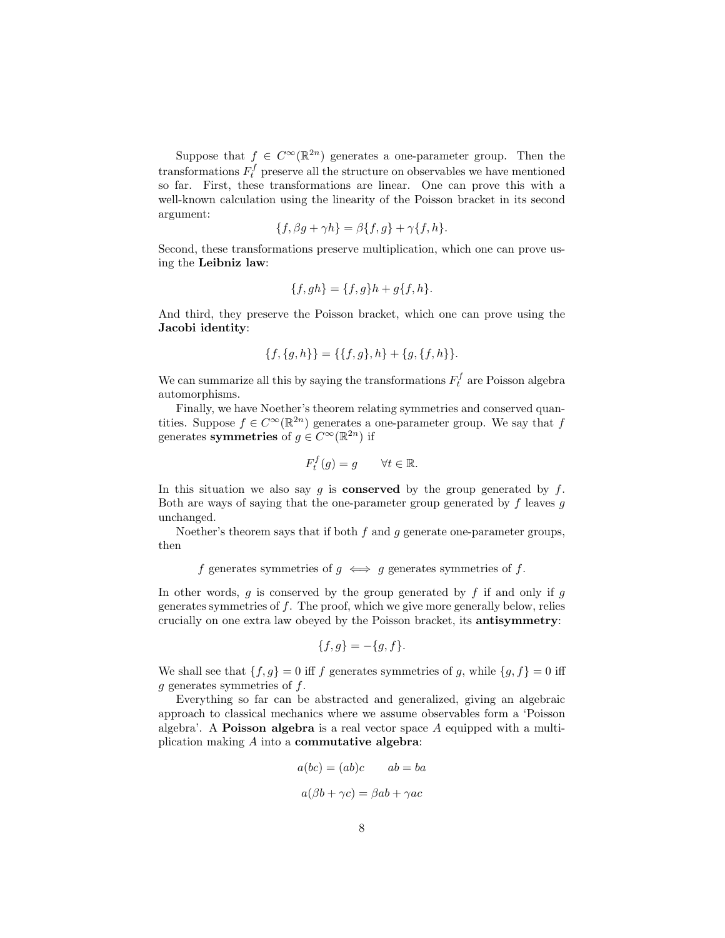Suppose that  $f \in C^{\infty}(\mathbb{R}^{2n})$  generates a one-parameter group. Then the transformations  $F_t^f$  preserve all the structure on observables we have mentioned so far. First, these transformations are linear. One can prove this with a well-known calculation using the linearity of the Poisson bracket in its second argument:

$$
\{f, \beta g + \gamma h\} = \beta \{f, g\} + \gamma \{f, h\}.
$$

Second, these transformations preserve multiplication, which one can prove using the Leibniz law:

$$
\{f, gh\} = \{f, g\}h + g\{f, h\}.
$$

And third, they preserve the Poisson bracket, which one can prove using the Jacobi identity:

$$
\{f,\{g,h\}\} = \{\{f,g\},h\} + \{g,\{f,h\}\}.
$$

We can summarize all this by saying the transformations  $F_t^f$  are Poisson algebra automorphisms.

Finally, we have Noether's theorem relating symmetries and conserved quantities. Suppose  $f \in C^{\infty}(\mathbb{R}^{2n})$  generates a one-parameter group. We say that f generates symmetries of  $g \in C^{\infty}(\mathbb{R}^{2n})$  if

$$
F_t^f(g) = g \qquad \forall t \in \mathbb{R}.
$$

In this situation we also say  $g$  is **conserved** by the group generated by  $f$ . Both are ways of saying that the one-parameter group generated by  $f$  leaves  $q$ unchanged.

Noether's theorem says that if both  $f$  and  $g$  generate one-parameter groups, then

f generates symmetries of 
$$
g \iff g
$$
 generates symmetries of f.

In other words,  $g$  is conserved by the group generated by  $f$  if and only if  $g$ generates symmetries of f. The proof, which we give more generally below, relies crucially on one extra law obeyed by the Poisson bracket, its antisymmetry:

$$
\{f, g\} = -\{g, f\}.
$$

We shall see that  $\{f, g\} = 0$  iff f generates symmetries of g, while  $\{g, f\} = 0$  iff  $g$  generates symmetries of  $f$ .

Everything so far can be abstracted and generalized, giving an algebraic approach to classical mechanics where we assume observables form a 'Poisson algebra'. A **Poisson algebra** is a real vector space  $A$  equipped with a multiplication making  $A$  into a **commutative algebra**:

$$
a(bc) = (ab)c \t ab = ba
$$

$$
a(\beta b + \gamma c) = \beta ab + \gamma ac
$$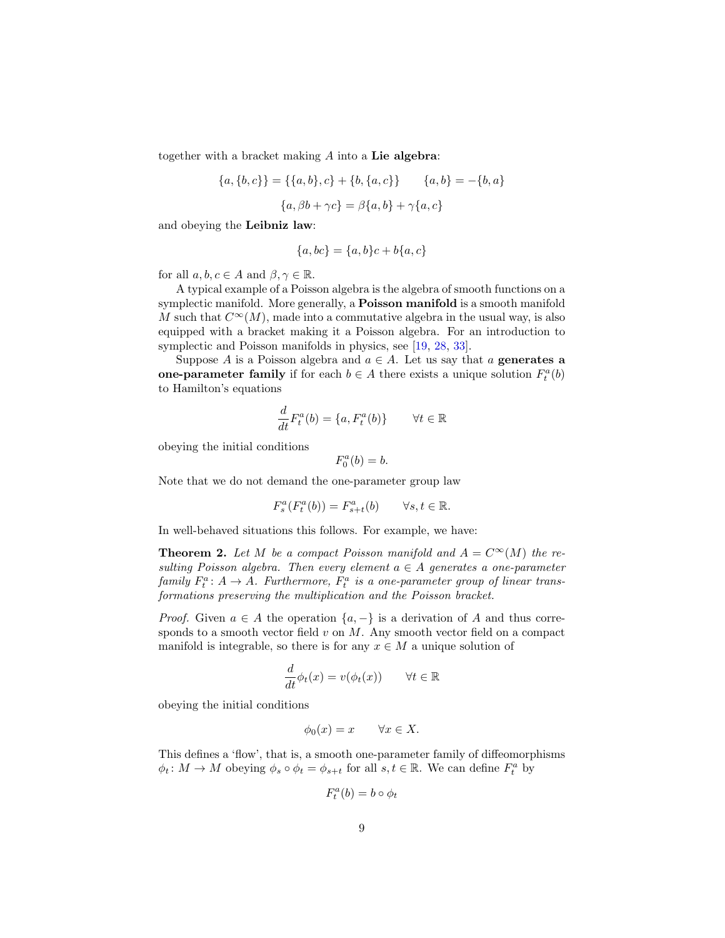<span id="page-8-1"></span>together with a bracket making  $A$  into a Lie algebra:

$$
\{a, \{b, c\}\} = \{\{a, b\}, c\} + \{b, \{a, c\}\} \qquad \{a, b\} = -\{b, a\}
$$

$$
\{a, \beta b + \gamma c\} = \beta \{a, b\} + \gamma \{a, c\}
$$

and obeying the Leibniz law:

$$
\{a, bc\} = \{a, b\}c + b\{a, c\}
$$

for all  $a, b, c \in A$  and  $\beta, \gamma \in \mathbb{R}$ .

A typical example of a Poisson algebra is the algebra of smooth functions on a symplectic manifold. More generally, a **Poisson manifold** is a smooth manifold M such that  $C^{\infty}(M)$ , made into a commutative algebra in the usual way, is also equipped with a bracket making it a Poisson algebra. For an introduction to symplectic and Poisson manifolds in physics, see [\[19,](#page-35-2) [28,](#page-36-1) [33\]](#page-36-2).

Suppose A is a Poisson algebra and  $a \in A$ . Let us say that a generates a one-parameter family if for each  $b \in A$  there exists a unique solution  $F_t^a(b)$ to Hamilton's equations

$$
\frac{d}{dt}F_t^a(b) = \{a, F_t^a(b)\} \qquad \forall t \in \mathbb{R}
$$

obeying the initial conditions

$$
F_0^a(b) = b.
$$

Note that we do not demand the one-parameter group law

$$
F_s^a(F_t^a(b)) = F_{s+t}^a(b) \qquad \forall s, t \in \mathbb{R}.
$$

In well-behaved situations this follows. For example, we have:

<span id="page-8-0"></span>**Theorem 2.** Let M be a compact Poisson manifold and  $A = C^{\infty}(M)$  the resulting Poisson algebra. Then every element  $a \in A$  generates a one-parameter family  $F_t^a: A \to A$ . Furthermore,  $F_t^a$  is a one-parameter group of linear transformations preserving the multiplication and the Poisson bracket.

*Proof.* Given  $a \in A$  the operation  $\{a, -\}$  is a derivation of A and thus corresponds to a smooth vector field  $v$  on  $M$ . Any smooth vector field on a compact manifold is integrable, so there is for any  $x \in M$  a unique solution of

$$
\frac{d}{dt}\phi_t(x) = v(\phi_t(x)) \qquad \forall t \in \mathbb{R}
$$

obeying the initial conditions

$$
\phi_0(x) = x \qquad \forall x \in X.
$$

This defines a 'flow', that is, a smooth one-parameter family of diffeomorphisms  $\phi_t \colon M \to M$  obeying  $\phi_s \circ \phi_t = \phi_{s+t}$  for all  $s, t \in \mathbb{R}$ . We can define  $F_t^a$  by

$$
F_t^a(b) = b \circ \phi_t
$$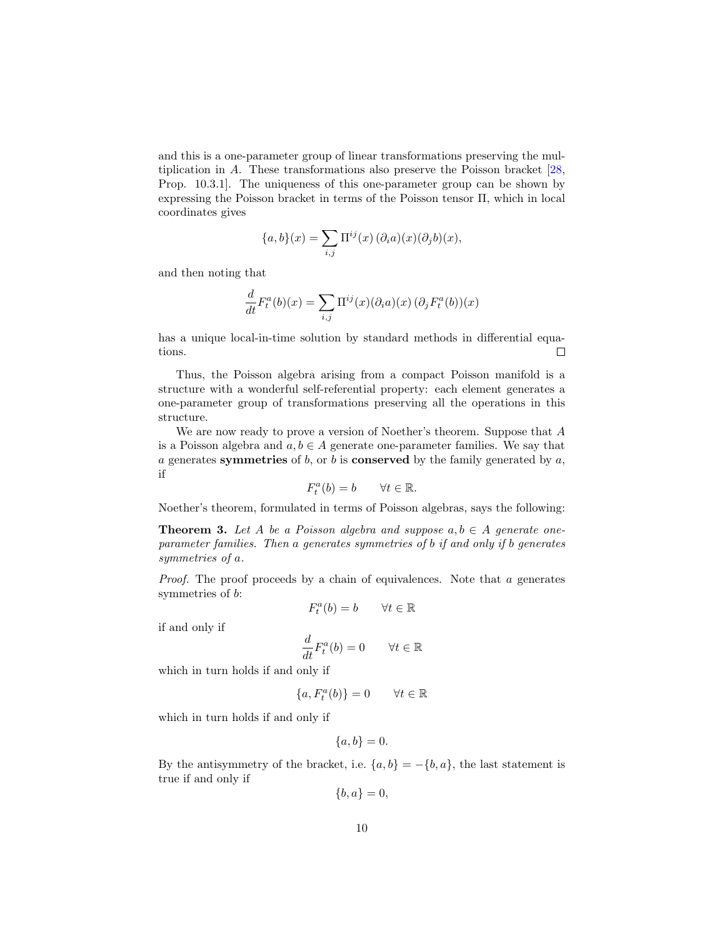<span id="page-9-1"></span>and this is a one-parameter group of linear transformations preserving the multiplication in A. These transformations also preserve the Poisson bracket [\[28,](#page-36-1) Prop. 10.3.1]. The uniqueness of this one-parameter group can be shown by expressing the Poisson bracket in terms of the Poisson tensor Π, which in local coordinates gives

$$
\{a, b\}(x) = \sum_{i,j} \Pi^{ij}(x) (\partial_i a)(x) (\partial_j b)(x),
$$

and then noting that

$$
\frac{d}{dt}F_t^a(b)(x) = \sum_{i,j} \Pi^{ij}(x)(\partial_i a)(x) (\partial_j F_t^a(b))(x)
$$

has a unique local-in-time solution by standard methods in differential equations.  $\Box$ 

Thus, the Poisson algebra arising from a compact Poisson manifold is a structure with a wonderful self-referential property: each element generates a one-parameter group of transformations preserving all the operations in this structure.

We are now ready to prove a version of Noether's theorem. Suppose that A is a Poisson algebra and  $a, b \in A$  generate one-parameter families. We say that a generates symmetries of  $b$ , or  $b$  is conserved by the family generated by  $a$ , if

$$
F_t^a(b) = b \qquad \forall t \in \mathbb{R}.
$$

Noether's theorem, formulated in terms of Poisson algebras, says the following:

<span id="page-9-0"></span>**Theorem 3.** Let A be a Poisson algebra and suppose  $a, b \in A$  generate oneparameter families. Then a generates symmetries of b if and only if b generates symmetries of a.

Proof. The proof proceeds by a chain of equivalences. Note that a generates symmetries of b:

$$
F_t^a(b) = b \qquad \forall t \in \mathbb{R}
$$

if and only if

$$
\frac{d}{dt}F_t^a(b) = 0 \qquad \forall t \in \mathbb{R}
$$

which in turn holds if and only if

$$
\{a, F_t^a(b)\} = 0 \qquad \forall t \in \mathbb{R}
$$

which in turn holds if and only if

 ${a, b} = 0.$ 

By the antisymmetry of the bracket, i.e.  $\{a, b\} = -\{b, a\}$ , the last statement is true if and only if

 ${b, a} = 0,$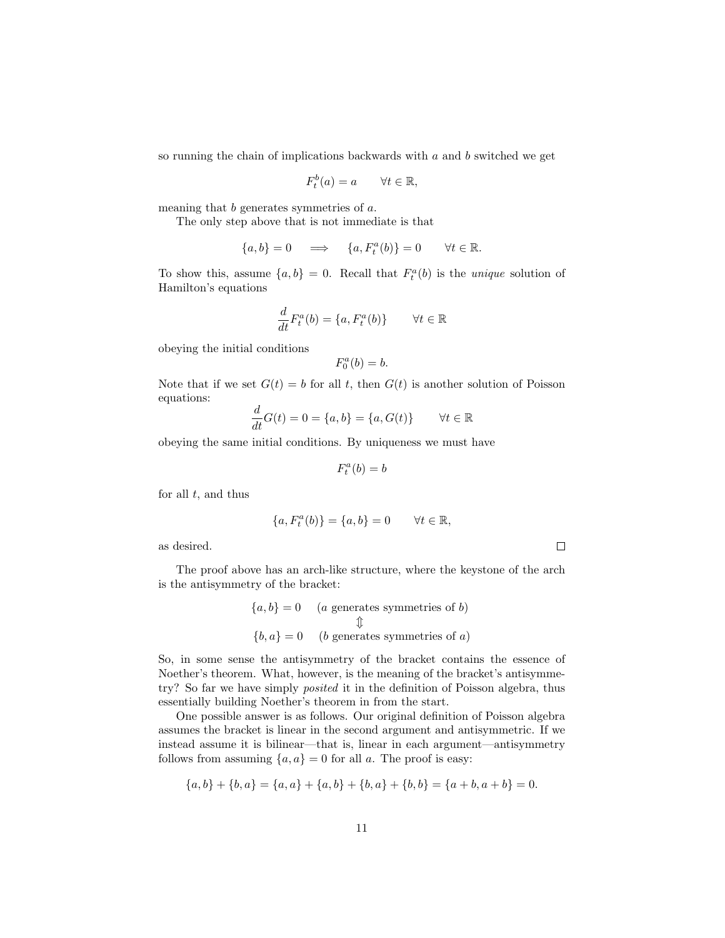so running the chain of implications backwards with  $a$  and  $b$  switched we get

$$
F_t^b(a) = a \qquad \forall t \in \mathbb{R},
$$

meaning that b generates symmetries of a.

The only step above that is not immediate is that

$$
\{a,b\} = 0 \quad \implies \quad \{a,F_t^a(b)\} = 0 \qquad \forall t \in \mathbb{R}.
$$

To show this, assume  $\{a, b\} = 0$ . Recall that  $F_t^a(b)$  is the *unique* solution of Hamilton's equations

$$
\frac{d}{dt}F_t^a(b) = \{a, F_t^a(b)\} \qquad \forall t \in \mathbb{R}
$$

obeying the initial conditions

$$
F_0^a(b) = b.
$$

Note that if we set  $G(t) = b$  for all t, then  $G(t)$  is another solution of Poisson equations:

$$
\frac{d}{dt}G(t) = 0 = \{a, b\} = \{a, G(t)\} \qquad \forall t \in \mathbb{R}
$$

obeying the same initial conditions. By uniqueness we must have

$$
F_t^a(b)=b
$$

for all  $t$ , and thus

$$
\{a, F_t^a(b)\} = \{a, b\} = 0 \qquad \forall t \in \mathbb{R},
$$

 $\Box$ 

as desired.

The proof above has an arch-like structure, where the keystone of the arch is the antisymmetry of the bracket:

$$
{a, b} = 0 \t (a generates symmetries of b)
$$
  

$$
\updownarrow
$$
  

$$
{b, a} = 0 \t (b generates symmetries of a)
$$

So, in some sense the antisymmetry of the bracket contains the essence of Noether's theorem. What, however, is the meaning of the bracket's antisymmetry? So far we have simply posited it in the definition of Poisson algebra, thus essentially building Noether's theorem in from the start.

One possible answer is as follows. Our original definition of Poisson algebra assumes the bracket is linear in the second argument and antisymmetric. If we instead assume it is bilinear—that is, linear in each argument—antisymmetry follows from assuming  $\{a, a\} = 0$  for all a. The proof is easy:

$$
\{a,b\} + \{b,a\} = \{a,a\} + \{a,b\} + \{b,a\} + \{b,b\} = \{a+b,a+b\} = 0.
$$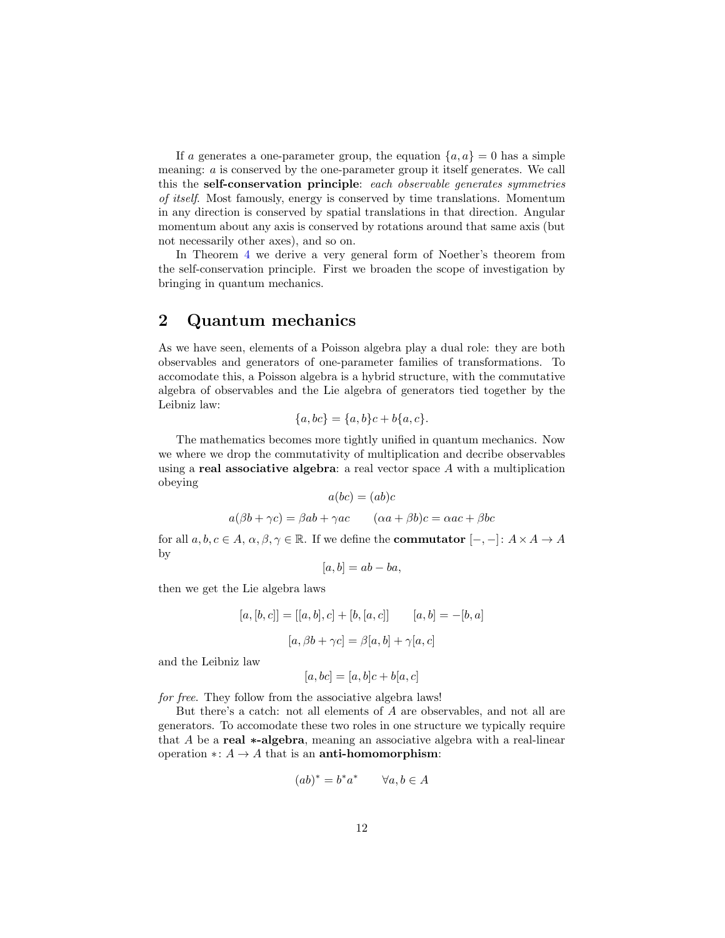If a generates a one-parameter group, the equation  $\{a, a\} = 0$  has a simple meaning: a is conserved by the one-parameter group it itself generates. We call this the self-conservation principle: each observable generates symmetries of itself. Most famously, energy is conserved by time translations. Momentum in any direction is conserved by spatial translations in that direction. Angular momentum about any axis is conserved by rotations around that same axis (but not necessarily other axes), and so on.

In Theorem [4](#page-14-0) we derive a very general form of Noether's theorem from the self-conservation principle. First we broaden the scope of investigation by bringing in quantum mechanics.

# <span id="page-11-0"></span>2 Quantum mechanics

As we have seen, elements of a Poisson algebra play a dual role: they are both observables and generators of one-parameter families of transformations. To accomodate this, a Poisson algebra is a hybrid structure, with the commutative algebra of observables and the Lie algebra of generators tied together by the Leibniz law:

$$
\{a, bc\} = \{a, b\}c + b\{a, c\}.
$$

The mathematics becomes more tightly unified in quantum mechanics. Now we where we drop the commutativity of multiplication and decribe observables using a real associative algebra: a real vector space  $A$  with a multiplication obeying  $\overline{a}$   $\overline{b}$  = (a)

$$
a(bc) = (ab)c
$$

$$
a(\beta b + \gamma c) = \beta ab + \gamma ac \qquad (\alpha a + \beta b)c = \alpha ac + \beta bc
$$

for all  $a, b, c \in A$ ,  $\alpha, \beta, \gamma \in \mathbb{R}$ . If we define the **commutator**  $[-,-]: A \times A \rightarrow A$ by

$$
[a, b] = ab - ba,
$$

then we get the Lie algebra laws

$$
[a, [b, c]] = [[a, b], c] + [b, [a, c]] \qquad [a, b] = -[b, a]
$$

$$
[a, \beta b + \gamma c] = \beta [a, b] + \gamma [a, c]
$$

and the Leibniz law

$$
[a,bc] = [a,b]c + b[a,c]
$$

for free. They follow from the associative algebra laws!

But there's a catch: not all elements of  $A$  are observables, and not all are generators. To accomodate these two roles in one structure we typically require that A be a real ∗-algebra, meaning an associative algebra with a real-linear operation ∗:  $A \rightarrow A$  that is an **anti-homomorphism**:

$$
(ab)^* = b^*a^* \qquad \forall a, b \in A
$$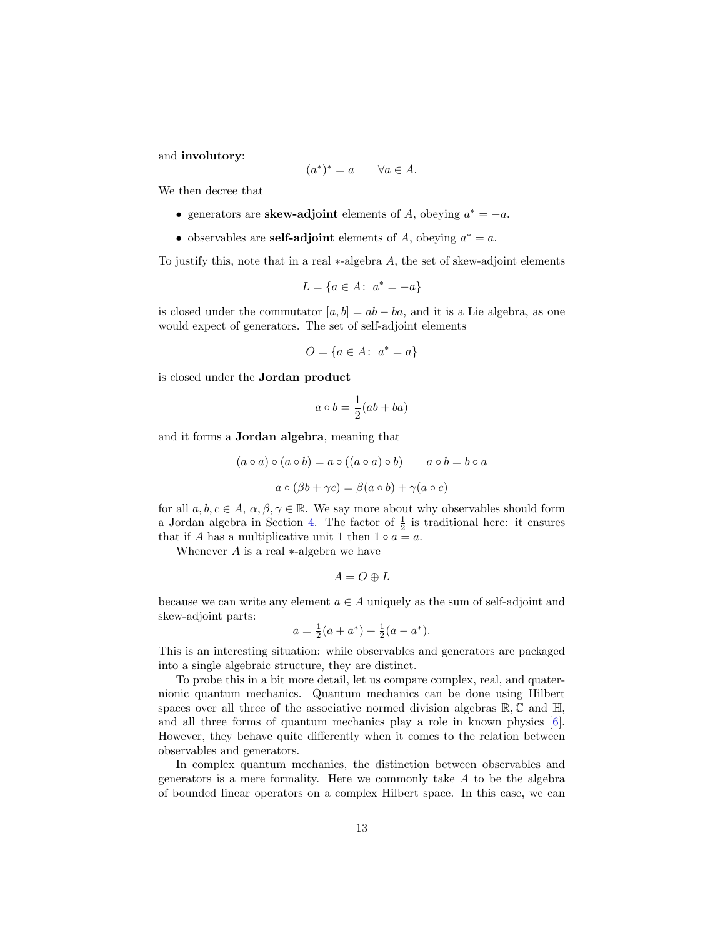<span id="page-12-0"></span>and involutory:

$$
(a^*)^* = a \qquad \forall a \in A.
$$

We then decree that

- generators are **skew-adjoint** elements of A, obeying  $a^* = -a$ .
- observables are **self-adjoint** elements of A, obeying  $a^* = a$ .

To justify this, note that in a real ∗-algebra A, the set of skew-adjoint elements

$$
L = \{a \in A: \ a^* = -a\}
$$

is closed under the commutator  $[a, b] = ab - ba$ , and it is a Lie algebra, as one would expect of generators. The set of self-adjoint elements

$$
O = \{a \in A: \ a^* = a\}
$$

is closed under the Jordan product

$$
a \circ b = \frac{1}{2}(ab + ba)
$$

and it forms a Jordan algebra, meaning that

$$
(a \circ a) \circ (a \circ b) = a \circ ((a \circ a) \circ b) \qquad a \circ b = b \circ a
$$

$$
a \circ (\beta b + \gamma c) = \beta(a \circ b) + \gamma(a \circ c)
$$

for all  $a, b, c \in A$ ,  $\alpha, \beta, \gamma \in \mathbb{R}$ . We say more about why observables should form a Jordan algebra in Section [4.](#page-23-0) The factor of  $\frac{1}{2}$  is traditional here: it ensures that if A has a multiplicative unit 1 then  $1 \circ a = a$ .

Whenever  $A$  is a real  $*$ -algebra we have

$$
A=O\oplus L
$$

because we can write any element  $a \in A$  uniquely as the sum of self-adjoint and skew-adjoint parts:

$$
a = \frac{1}{2}(a + a^*) + \frac{1}{2}(a - a^*).
$$

This is an interesting situation: while observables and generators are packaged into a single algebraic structure, they are distinct.

To probe this in a bit more detail, let us compare complex, real, and quaternionic quantum mechanics. Quantum mechanics can be done using Hilbert spaces over all three of the associative normed division algebras  $\mathbb{R}, \mathbb{C}$  and  $\mathbb{H}$ , and all three forms of quantum mechanics play a role in known physics [\[6\]](#page-34-3). However, they behave quite differently when it comes to the relation between observables and generators.

In complex quantum mechanics, the distinction between observables and generators is a mere formality. Here we commonly take  $A$  to be the algebra of bounded linear operators on a complex Hilbert space. In this case, we can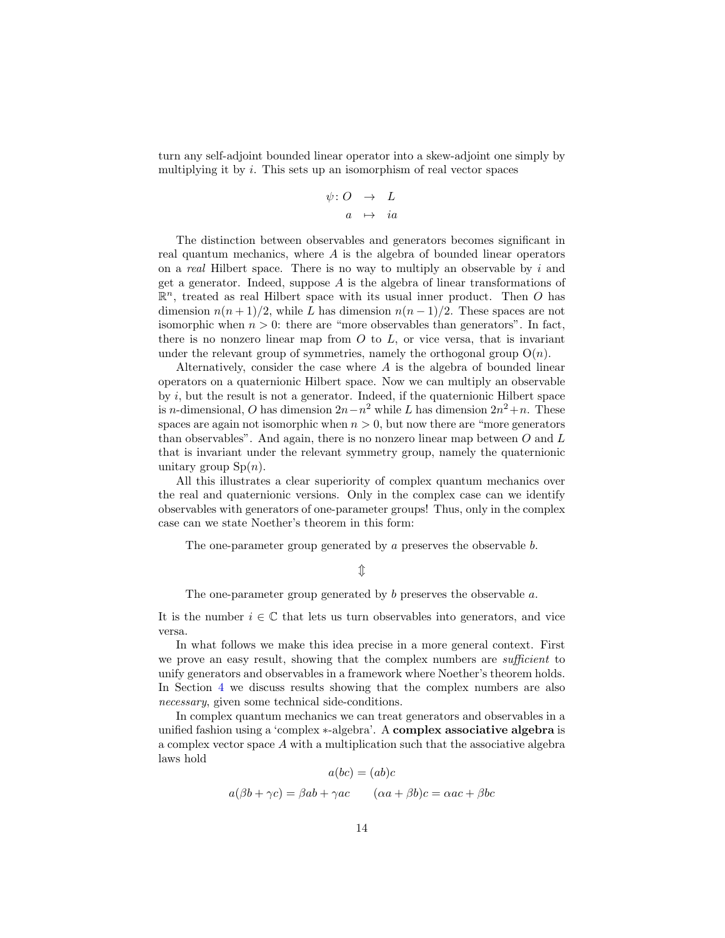turn any self-adjoint bounded linear operator into a skew-adjoint one simply by multiplying it by  $i$ . This sets up an isomorphism of real vector spaces

$$
\psi: O \rightarrow L
$$

$$
a \mapsto ia
$$

The distinction between observables and generators becomes significant in real quantum mechanics, where A is the algebra of bounded linear operators on a real Hilbert space. There is no way to multiply an observable by  $i$  and get a generator. Indeed, suppose A is the algebra of linear transformations of  $\mathbb{R}^n$ , treated as real Hilbert space with its usual inner product. Then O has dimension  $n(n+1)/2$ , while L has dimension  $n(n-1)/2$ . These spaces are not isomorphic when  $n > 0$ : there are "more observables than generators". In fact, there is no nonzero linear map from  $O$  to  $L$ , or vice versa, that is invariant under the relevant group of symmetries, namely the orthogonal group  $O(n)$ .

Alternatively, consider the case where  $A$  is the algebra of bounded linear operators on a quaternionic Hilbert space. Now we can multiply an observable by  $i$ , but the result is not a generator. Indeed, if the quaternionic Hilbert space is n-dimensional, O has dimension  $2n - n^2$  while L has dimension  $2n^2 + n$ . These spaces are again not isomorphic when  $n > 0$ , but now there are "more generators" than observables". And again, there is no nonzero linear map between  $O$  and  $L$ that is invariant under the relevant symmetry group, namely the quaternionic unitary group  $\text{Sp}(n)$ .

All this illustrates a clear superiority of complex quantum mechanics over the real and quaternionic versions. Only in the complex case can we identify observables with generators of one-parameter groups! Thus, only in the complex case can we state Noether's theorem in this form:

The one-parameter group generated by a preserves the observable b.

### $\mathbb{\hat{I}}$

The one-parameter group generated by  $b$  preserves the observable  $a$ .

It is the number  $i \in \mathbb{C}$  that lets us turn observables into generators, and vice versa.

In what follows we make this idea precise in a more general context. First we prove an easy result, showing that the complex numbers are *sufficient* to unify generators and observables in a framework where Noether's theorem holds. In Section [4](#page-23-0) we discuss results showing that the complex numbers are also necessary, given some technical side-conditions.

In complex quantum mechanics we can treat generators and observables in a unified fashion using a 'complex ∗-algebra'. A complex associative algebra is a complex vector space  $A$  with a multiplication such that the associative algebra laws hold

$$
a(bc) = (ab)c
$$

$$
a(\beta b + \gamma c) = \beta ab + \gamma ac \qquad (\alpha a + \beta b)c = \alpha ac + \beta bc
$$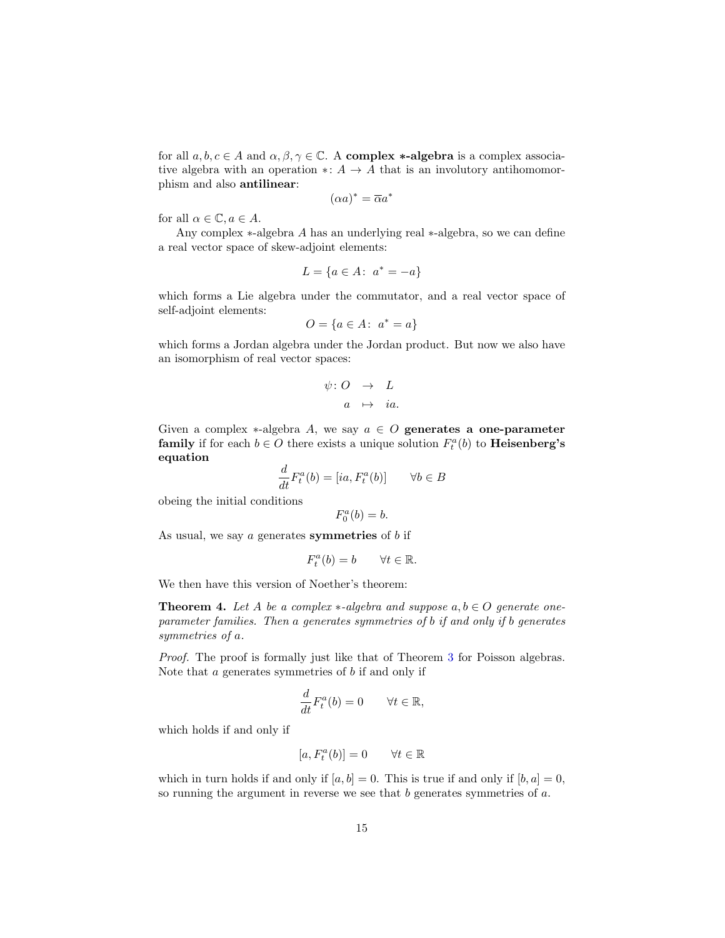for all  $a, b, c \in A$  and  $\alpha, \beta, \gamma \in \mathbb{C}$ . A **complex \*-algebra** is a complex associative algebra with an operation ∗:  $A \rightarrow A$  that is an involutory antihomomorphism and also antilinear:

$$
(\alpha a)^* = \overline{\alpha} a^*
$$

for all  $\alpha \in \mathbb{C}$ ,  $a \in A$ .

Any complex ∗-algebra A has an underlying real ∗-algebra, so we can define a real vector space of skew-adjoint elements:

$$
L = \{ a \in A : a^* = -a \}
$$

which forms a Lie algebra under the commutator, and a real vector space of self-adjoint elements:

$$
O = \{ a \in A : a^* = a \}
$$

which forms a Jordan algebra under the Jordan product. But now we also have an isomorphism of real vector spaces:

$$
\psi: O \rightarrow L
$$
  

$$
a \mapsto ia.
$$

Given a complex  $*$ -algebra A, we say  $a \in O$  generates a one-parameter **family** if for each  $b \in O$  there exists a unique solution  $F_t^a(b)$  to **Heisenberg's** equation

$$
\frac{d}{dt}F_t^a(b) = [ia, F_t^a(b)] \qquad \forall b \in B
$$

obeing the initial conditions

$$
F_0^a(b) = b.
$$

As usual, we say  $a$  generates symmetries of  $b$  if

$$
F_t^a(b) = b \qquad \forall t \in \mathbb{R}.
$$

We then have this version of Noether's theorem:

<span id="page-14-0"></span>**Theorem 4.** Let A be a complex  $*$ -algebra and suppose  $a, b \in O$  generate oneparameter families. Then a generates symmetries of b if and only if b generates symmetries of a.

Proof. The proof is formally just like that of Theorem [3](#page-9-0) for Poisson algebras. Note that  $\alpha$  generates symmetries of  $\delta$  if and only if

$$
\frac{d}{dt}F_t^a(b) = 0 \quad \forall t \in \mathbb{R},
$$

which holds if and only if

$$
[a, F_t^a(b)] = 0 \qquad \forall t \in \mathbb{R}
$$

which in turn holds if and only if  $[a, b] = 0$ . This is true if and only if  $[b, a] = 0$ , so running the argument in reverse we see that  $b$  generates symmetries of  $a$ .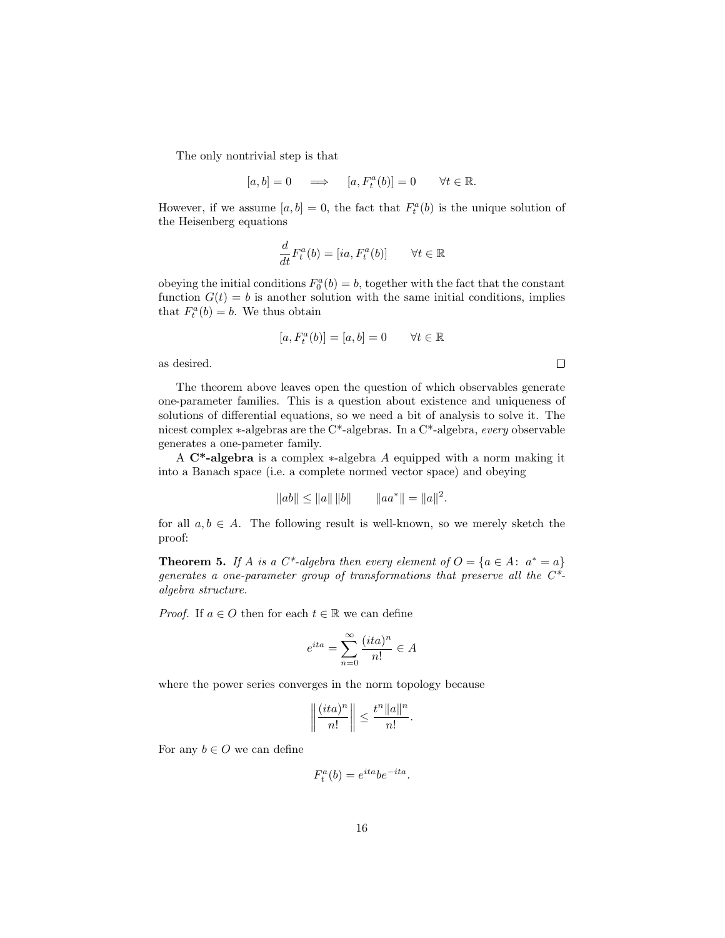The only nontrivial step is that

$$
[a, b] = 0 \quad \Longrightarrow \quad [a, F_t^a(b)] = 0 \qquad \forall t \in \mathbb{R}.
$$

However, if we assume  $[a, b] = 0$ , the fact that  $F_t^a(b)$  is the unique solution of the Heisenberg equations

$$
\frac{d}{dt}F_t^a(b) = [ia, F_t^a(b)] \qquad \forall t \in \mathbb{R}
$$

obeying the initial conditions  $F_0^a(b) = b$ , together with the fact that the constant function  $G(t) = b$  is another solution with the same initial conditions, implies that  $F_t^a(b) = b$ . We thus obtain

$$
[a, F_t^a(b)] = [a, b] = 0 \qquad \forall t \in \mathbb{R}
$$

as desired.

The theorem above leaves open the question of which observables generate one-parameter families. This is a question about existence and uniqueness of solutions of differential equations, so we need a bit of analysis to solve it. The nicest complex ∗-algebras are the C\*-algebras. In a C\*-algebra, every observable generates a one-pameter family.

A C\*-algebra is a complex ∗-algebra A equipped with a norm making it into a Banach space (i.e. a complete normed vector space) and obeying

$$
||ab|| \le ||a|| ||b|| \qquad ||aa^*|| = ||a||^2
$$

.

for all  $a, b \in A$ . The following result is well-known, so we merely sketch the proof:

<span id="page-15-0"></span>**Theorem 5.** If A is a C<sup>\*</sup>-algebra then every element of  $O = \{a \in A : a^* = a\}$ generates a one-parameter group of transformations that preserve all the  $C^*$ algebra structure.

*Proof.* If  $a \in O$  then for each  $t \in \mathbb{R}$  we can define

$$
e^{ita} = \sum_{n=0}^{\infty} \frac{(ita)^n}{n!} \in A
$$

where the power series converges in the norm topology because

$$
\left\|\frac{(ita)^n}{n!}\right\| \leq \frac{t^n \|a\|^n}{n!}.
$$

For any  $b \in O$  we can define

$$
F_t^a(b) = e^{ita}b e^{-ita}.
$$

 $\Box$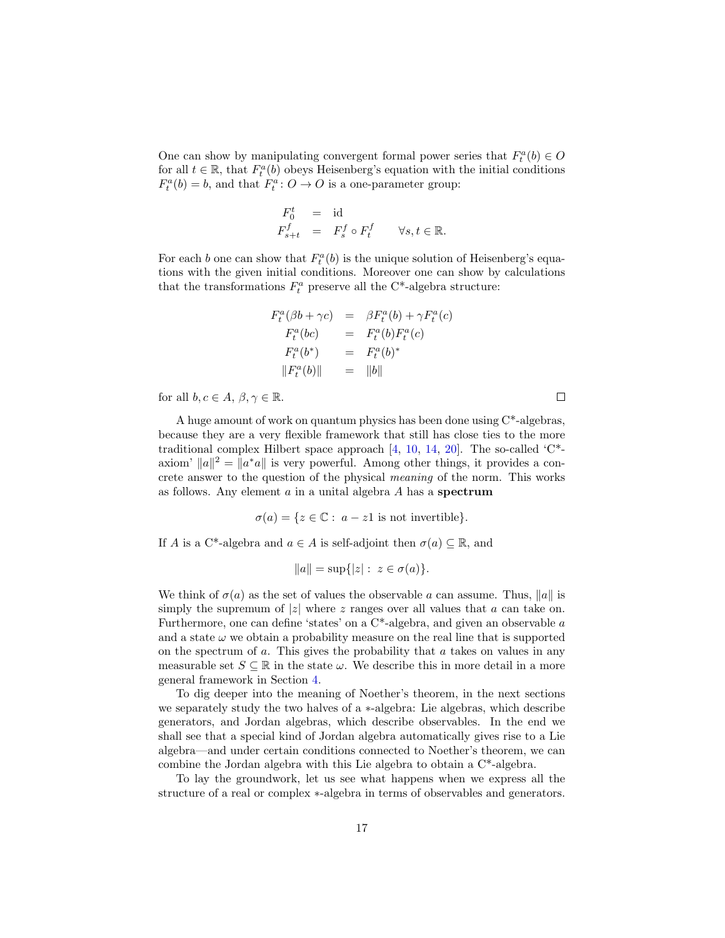<span id="page-16-0"></span>One can show by manipulating convergent formal power series that  $F_t^a(b) \in O$ for all  $t \in \mathbb{R}$ , that  $F_t^a(b)$  obeys Heisenberg's equation with the initial conditions  $F_t^a(b) = b$ , and that  $F_t^a: O \to O$  is a one-parameter group:

$$
\begin{array}{rcl}\nF_0^t & = & \text{id} \\
F_{s+t}^f & = & F_s^f \circ F_t^f \qquad \forall s, t \in \mathbb{R}.\n\end{array}
$$

For each b one can show that  $F_t^a(b)$  is the unique solution of Heisenberg's equations with the given initial conditions. Moreover one can show by calculations that the transformations  $F_t^a$  preserve all the C<sup>\*</sup>-algebra structure:

$$
F_t^a(\beta b + \gamma c) = \beta F_t^a(b) + \gamma F_t^a(c)
$$
  
\n
$$
F_t^a(bc) = F_t^a(b)F_t^a(c)
$$
  
\n
$$
F_t^a(b^*) = F_t^a(b)^*
$$
  
\n
$$
||F_t^a(b)|| = ||b||
$$

 $\Box$ 

for all  $b, c \in A, \beta, \gamma \in \mathbb{R}$ .

A huge amount of work on quantum physics has been done using  $C^*$ -algebras, because they are a very flexible framework that still has close ties to the more traditional complex Hilbert space approach [\[4,](#page-34-4) [10,](#page-34-5) [14,](#page-35-3) [20\]](#page-35-4). The so-called 'C\* axiom'  $||a||^2 = ||a^*a||$  is very powerful. Among other things, it provides a concrete answer to the question of the physical meaning of the norm. This works as follows. Any element  $a$  in a unital algebra  $A$  has a spectrum

$$
\sigma(a) = \{ z \in \mathbb{C} : a - z1 \text{ is not invertible} \}.
$$

If A is a C<sup>\*</sup>-algebra and  $a \in A$  is self-adjoint then  $\sigma(a) \subseteq \mathbb{R}$ , and

$$
||a|| = \sup\{|z| : z \in \sigma(a)\}.
$$

We think of  $\sigma(a)$  as the set of values the observable a can assume. Thus,  $||a||$  is simply the supremum of  $|z|$  where z ranges over all values that a can take on. Furthermore, one can define 'states' on a  $C^*$ -algebra, and given an observable  $a$ and a state  $\omega$  we obtain a probability measure on the real line that is supported on the spectrum of  $a$ . This gives the probability that  $a$  takes on values in any measurable set  $S \subseteq \mathbb{R}$  in the state  $\omega$ . We describe this in more detail in a more general framework in Section [4.](#page-23-0)

To dig deeper into the meaning of Noether's theorem, in the next sections we separately study the two halves of a ∗-algebra: Lie algebras, which describe generators, and Jordan algebras, which describe observables. In the end we shall see that a special kind of Jordan algebra automatically gives rise to a Lie algebra—and under certain conditions connected to Noether's theorem, we can combine the Jordan algebra with this Lie algebra to obtain a C\*-algebra.

To lay the groundwork, let us see what happens when we express all the structure of a real or complex ∗-algebra in terms of observables and generators.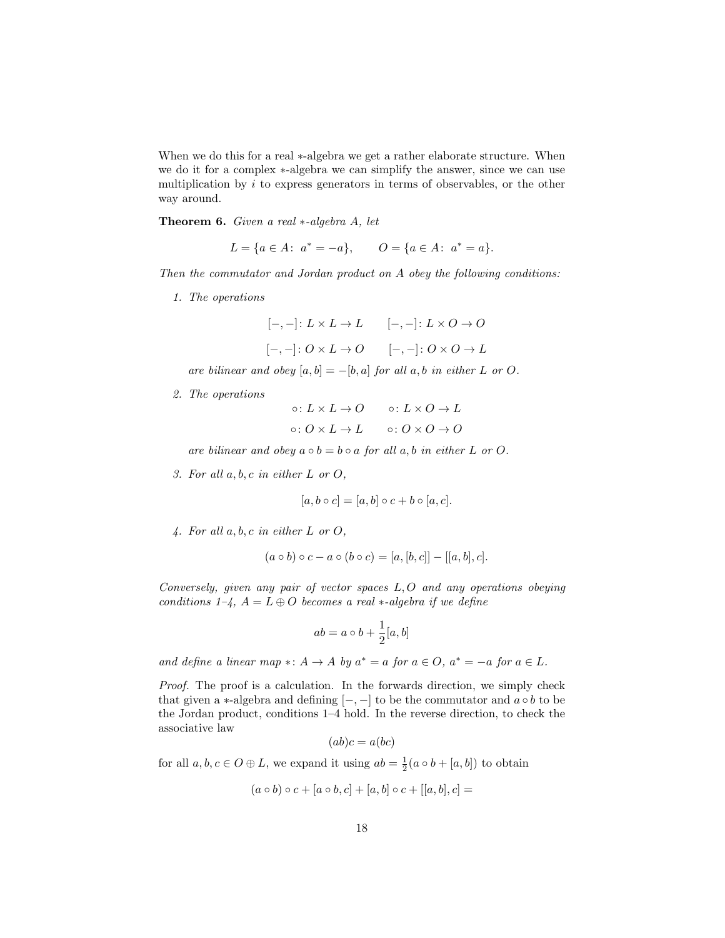When we do this for a real ∗-algebra we get a rather elaborate structure. When we do it for a complex ∗-algebra we can simplify the answer, since we can use multiplication by  $i$  to express generators in terms of observables, or the other way around.

<span id="page-17-0"></span>Theorem 6. Given a real ∗-algebra A, let

$$
L = \{a \in A: \ a^* = -a\}, \qquad O = \{a \in A: \ a^* = a\}.
$$

Then the commutator and Jordan product on A obey the following conditions:

1. The operations

$$
[-,-]: L \times L \to L \qquad [-,-]: L \times O \to O
$$

$$
[-,-]: O \times L \to O \qquad [-,-]: O \times O \to L
$$

are bilinear and obey  $[a, b] = -[b, a]$  for all  $a, b$  in either L or O.

2. The operations

$$
\circ: L \times L \to O \qquad \circ: L \times O \to L
$$
  

$$
\circ: O \times L \to L \qquad \circ: O \times O \to O
$$

are bilinear and obey  $a \circ b = b \circ a$  for all  $a, b$  in either L or O.

3. For all a, b, c in either L or O,

$$
[a, b \circ c] = [a, b] \circ c + b \circ [a, c].
$$

4. For all a, b, c in either L or O,

$$
(a \circ b) \circ c - a \circ (b \circ c) = [a, [b, c]] - [[a, b], c].
$$

Conversely, given any pair of vector spaces  $L, O$  and any operations obeying conditions  $1-\xi$ ,  $A = L \oplus O$  becomes a real  $\ast$ -algebra if we define

$$
ab = a \circ b + \frac{1}{2}[a, b]
$$

and define a linear map  $\ast: A \to A$  by  $a^* = a$  for  $a \in O$ ,  $a^* = -a$  for  $a \in L$ .

Proof. The proof is a calculation. In the forwards direction, we simply check that given a ∗-algebra and defining  $[-,-]$  to be the commutator and  $a \circ b$  to be the Jordan product, conditions 1–4 hold. In the reverse direction, to check the associative law

$$
(ab)c = a(bc)
$$

for all  $a, b, c \in O \oplus L$ , we expand it using  $ab = \frac{1}{2}(a \circ b + [a, b])$  to obtain

$$
(a \circ b) \circ c + [a \circ b, c] + [a, b] \circ c + [[a, b], c] =
$$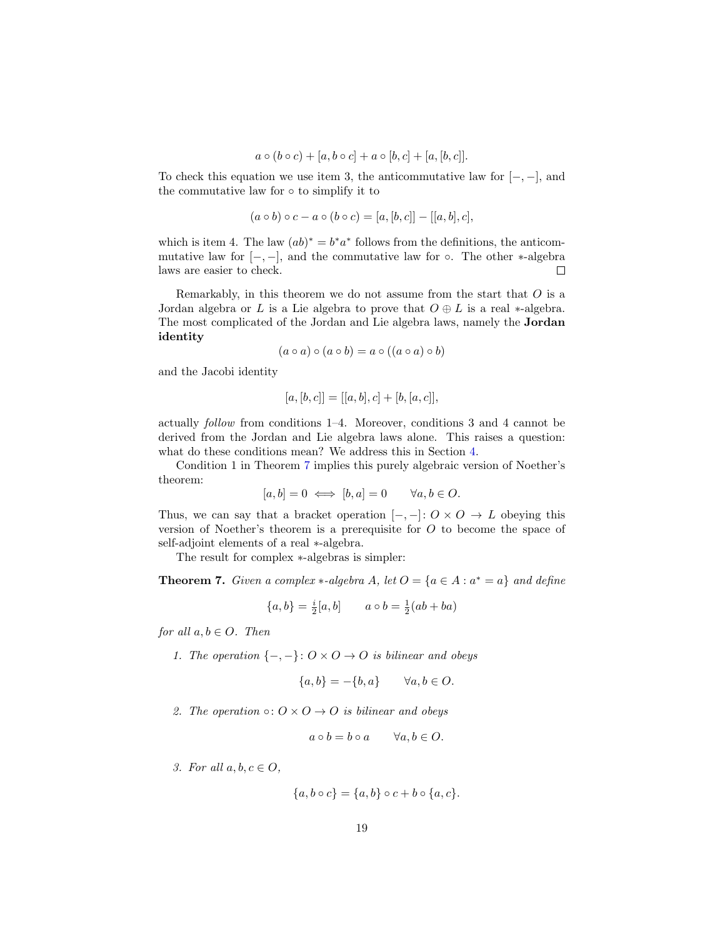$$
a\circ(b\circ c)+[a,b\circ c]+a\circ[b,c]+[a,[b,c]].
$$

To check this equation we use item 3, the anticommutative law for  $[-,-]$ , and the commutative law for ◦ to simplify it to

$$
(a \circ b) \circ c - a \circ (b \circ c) = [a, [b, c]] - [[a, b], c],
$$

which is item 4. The law  $(ab)^* = b^*a^*$  follows from the definitions, the anticommutative law for  $[-,-]$ , and the commutative law for ∘. The other  $\ast$ -algebra laws are easier to check.  $\Box$ 

Remarkably, in this theorem we do not assume from the start that  $O$  is a Jordan algebra or L is a Lie algebra to prove that  $O \oplus L$  is a real \*-algebra. The most complicated of the Jordan and Lie algebra laws, namely the Jordan identity

$$
(a \circ a) \circ (a \circ b) = a \circ ((a \circ a) \circ b)
$$

and the Jacobi identity

$$
[a,[b,c]] = [[a,b],c] + [b,[a,c]],
$$

actually follow from conditions 1–4. Moreover, conditions 3 and 4 cannot be derived from the Jordan and Lie algebra laws alone. This raises a question: what do these conditions mean? We address this in Section [4.](#page-23-0)

Condition 1 in Theorem [7](#page-18-0) implies this purely algebraic version of Noether's theorem:

$$
[a, b] = 0 \iff [b, a] = 0 \qquad \forall a, b \in O.
$$

Thus, we can say that a bracket operation  $[-,-]: O \times O \rightarrow L$  obeying this version of Noether's theorem is a prerequisite for  $O$  to become the space of self-adjoint elements of a real ∗-algebra.

The result for complex ∗-algebras is simpler:

<span id="page-18-0"></span>**Theorem 7.** Given a complex  $*$ -algebra A, let  $O = \{a \in A : a^* = a\}$  and define

$$
\{a, b\} = \frac{i}{2}[a, b] \qquad a \circ b = \frac{1}{2}(ab + ba)
$$

for all  $a, b \in O$ . Then

1. The operation  $\{-,-\}: O \times O \to O$  is bilinear and obeys

$$
\{a, b\} = -\{b, a\} \qquad \forall a, b \in O.
$$

2. The operation  $\circ: O \times O \rightarrow O$  is bilinear and obeys

$$
a \circ b = b \circ a \qquad \forall a, b \in O.
$$

3. For all  $a, b, c \in O$ ,

$$
\{a,b\circ c\} = \{a,b\}\circ c + b\circ\{a,c\}.
$$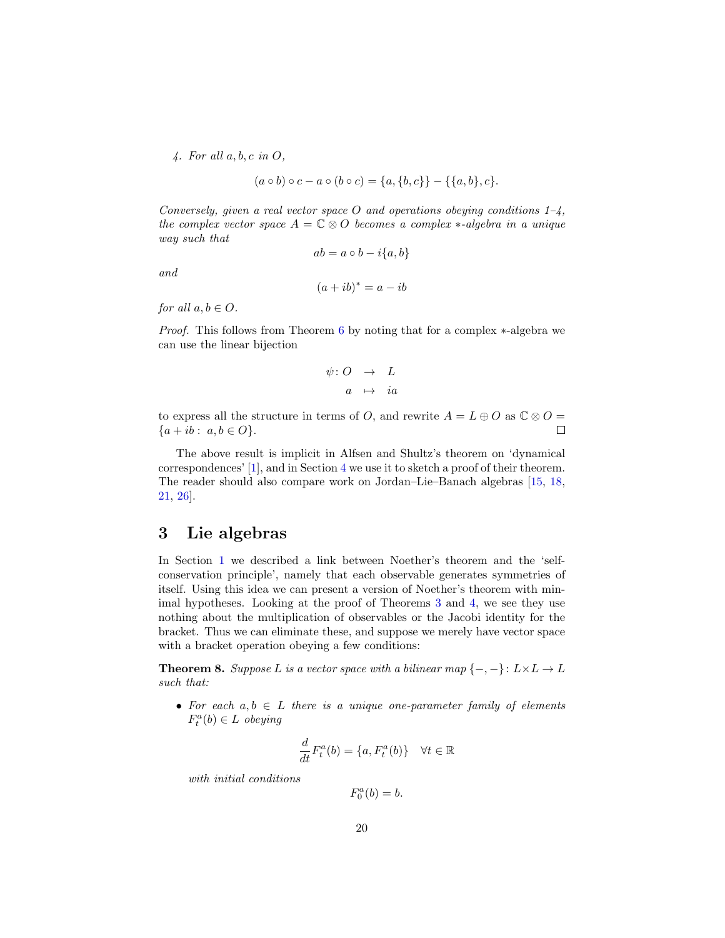<span id="page-19-2"></span> $\mathcal{A}$ . For all  $a, b, c$  in  $O$ ,

$$
(a \circ b) \circ c - a \circ (b \circ c) = \{a, \{b, c\}\} - \{\{a, b\}, c\}.
$$

Conversely, given a real vector space O and operations obeying conditions  $1-\frac{1}{4}$ , the complex vector space  $A = \mathbb{C} \otimes O$  becomes a complex  $*$ -algebra in a unique way such that

and

 $ab = a \circ b - i\{a, b\}$  $(a + ib)^* = a - ib$ 

for all  $a, b \in O$ .

Proof. This follows from Theorem [6](#page-17-0) by noting that for a complex ∗-algebra we can use the linear bijection

$$
\psi: O \quad \rightarrow \quad L
$$

$$
a \quad \mapsto \quad ia
$$

to express all the structure in terms of O, and rewrite  $A = L \oplus O$  as  $\mathbb{C} \otimes O =$  $\Box$  ${a + ib : a, b \in O}.$ 

The above result is implicit in Alfsen and Shultz's theorem on 'dynamical correspondences' [\[1\]](#page-34-1), and in Section [4](#page-23-0) we use it to sketch a proof of their theorem. The reader should also compare work on Jordan–Lie–Banach algebras [\[15,](#page-35-5) [18,](#page-35-0) [21,](#page-35-6) [26\]](#page-35-1).

# <span id="page-19-0"></span>3 Lie algebras

In Section [1](#page-5-0) we described a link between Noether's theorem and the 'selfconservation principle', namely that each observable generates symmetries of itself. Using this idea we can present a version of Noether's theorem with minimal hypotheses. Looking at the proof of Theorems [3](#page-9-0) and [4,](#page-14-0) we see they use nothing about the multiplication of observables or the Jacobi identity for the bracket. Thus we can eliminate these, and suppose we merely have vector space with a bracket operation obeying a few conditions:

<span id="page-19-1"></span>**Theorem 8.** Suppose L is a vector space with a bilinear map  $\{-,-\} \colon L \times L \to L$ such that:

• For each  $a, b \in L$  there is a unique one-parameter family of elements  $F_t^a(b) \in L$  obeying

$$
\frac{d}{dt}F_t^a(b) = \{a, F_t^a(b)\} \quad \forall t \in \mathbb{R}
$$

with initial conditions

 $F_0^a(b) = b.$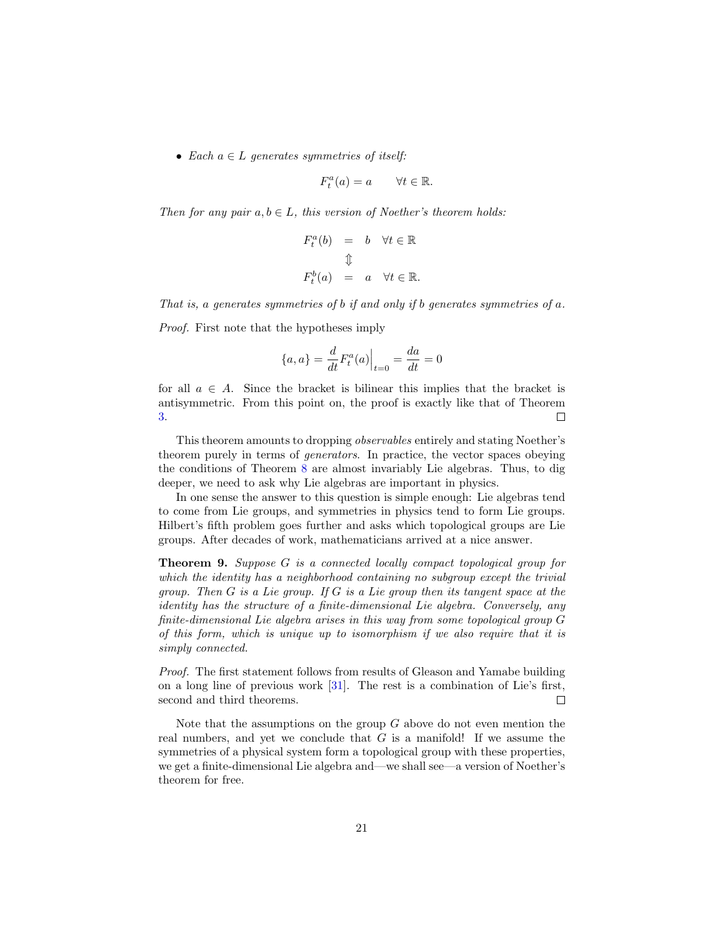<span id="page-20-0"></span>• Each  $a \in L$  generates symmetries of itself:

$$
F_t^a(a) = a \qquad \forall t \in \mathbb{R}.
$$

Then for any pair  $a, b \in L$ , this version of Noether's theorem holds:

$$
F_t^a(b) = b \quad \forall t \in \mathbb{R}
$$
  

$$
\updownarrow
$$
  

$$
F_t^b(a) = a \quad \forall t \in \mathbb{R}.
$$

That is, a generates symmetries of b if and only if b generates symmetries of a.

Proof. First note that the hypotheses imply

$$
\{a, a\} = \frac{d}{dt} F_t^a(a) \Big|_{t=0} = \frac{da}{dt} = 0
$$

for all  $a \in A$ . Since the bracket is bilinear this implies that the bracket is antisymmetric. From this point on, the proof is exactly like that of Theorem [3.](#page-9-0)  $\Box$ 

This theorem amounts to dropping observables entirely and stating Noether's theorem purely in terms of generators. In practice, the vector spaces obeying the conditions of Theorem [8](#page-19-1) are almost invariably Lie algebras. Thus, to dig deeper, we need to ask why Lie algebras are important in physics.

In one sense the answer to this question is simple enough: Lie algebras tend to come from Lie groups, and symmetries in physics tend to form Lie groups. Hilbert's fifth problem goes further and asks which topological groups are Lie groups. After decades of work, mathematicians arrived at a nice answer.

Theorem 9. Suppose G is a connected locally compact topological group for which the identity has a neighborhood containing no subgroup except the trivial group. Then  $G$  is a Lie group. If  $G$  is a Lie group then its tangent space at the identity has the structure of a finite-dimensional Lie algebra. Conversely, any finite-dimensional Lie algebra arises in this way from some topological group G of this form, which is unique up to isomorphism if we also require that it is simply connected.

Proof. The first statement follows from results of Gleason and Yamabe building on a long line of previous work [\[31\]](#page-36-3). The rest is a combination of Lie's first, second and third theorems.  $\Box$ 

Note that the assumptions on the group  $G$  above do not even mention the real numbers, and yet we conclude that  $G$  is a manifold! If we assume the symmetries of a physical system form a topological group with these properties, we get a finite-dimensional Lie algebra and—we shall see—a version of Noether's theorem for free.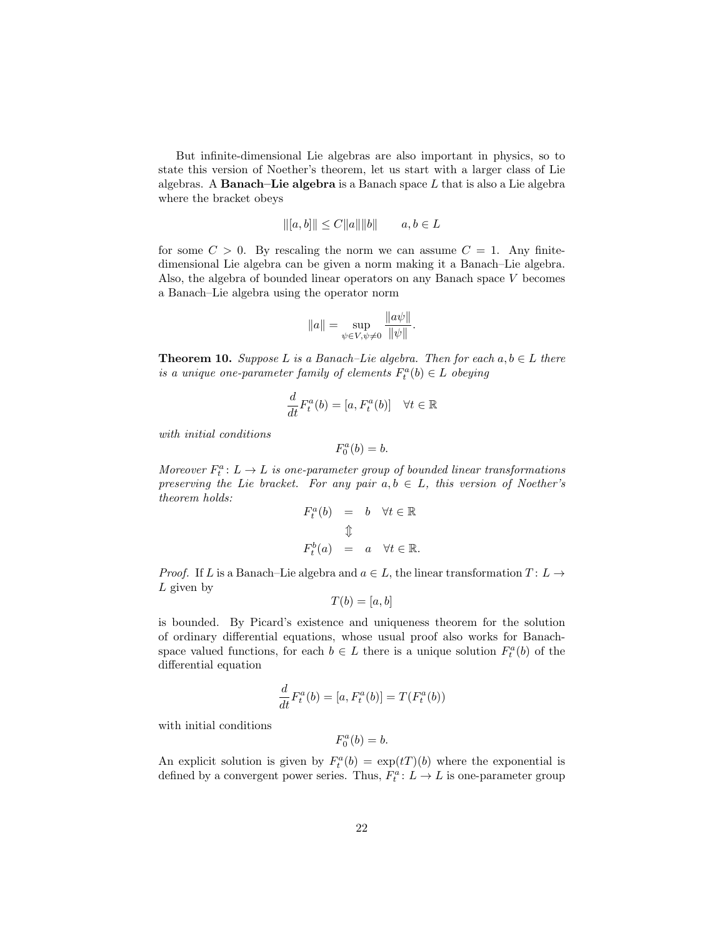But infinite-dimensional Lie algebras are also important in physics, so to state this version of Noether's theorem, let us start with a larger class of Lie algebras. A **Banach–Lie algebra** is a Banach space  $L$  that is also a Lie algebra where the bracket obeys

$$
||(a, b)|| \le C ||a|| ||b||
$$
  $a, b \in L$ 

for some  $C > 0$ . By rescaling the norm we can assume  $C = 1$ . Any finitedimensional Lie algebra can be given a norm making it a Banach–Lie algebra. Also, the algebra of bounded linear operators on any Banach space V becomes a Banach–Lie algebra using the operator norm

$$
||a|| = \sup_{\psi \in V, \psi \neq 0} \frac{||a\psi||}{||\psi||}.
$$

<span id="page-21-0"></span>**Theorem 10.** Suppose L is a Banach–Lie algebra. Then for each  $a, b \in L$  there is a unique one-parameter family of elements  $F_t^a(b) \in L$  obeying

$$
\frac{d}{dt}F_t^a(b) = [a, F_t^a(b)] \quad \forall t \in \mathbb{R}
$$

with initial conditions

$$
F_0^a(b) = b.
$$

Moreover  $F_t^a: L \to L$  is one-parameter group of bounded linear transformations preserving the Lie bracket. For any pair  $a, b \in L$ , this version of Noether's theorem holds:

$$
\begin{array}{rcl} F^a_t(b) & = & b \quad \forall t \in \mathbb{R} \\ & & \Downarrow \\ F^b_t(a) & = & a \quad \forall t \in \mathbb{R}. \end{array}
$$

*Proof.* If L is a Banach–Lie algebra and  $a \in L$ , the linear transformation  $T: L \rightarrow$  $L$  given by

$$
T(b) = [a, b]
$$

is bounded. By Picard's existence and uniqueness theorem for the solution of ordinary differential equations, whose usual proof also works for Banachspace valued functions, for each  $b \in L$  there is a unique solution  $F_t^a(b)$  of the differential equation

$$
\frac{d}{dt}F_t^a(b) = [a, F_t^a(b)] = T(F_t^a(b))
$$

with initial conditions

$$
F_0^a(b) = b.
$$

An explicit solution is given by  $F_t^a(b) = \exp(tT)(b)$  where the exponential is defined by a convergent power series. Thus,  $F_t^a: L \to L$  is one-parameter group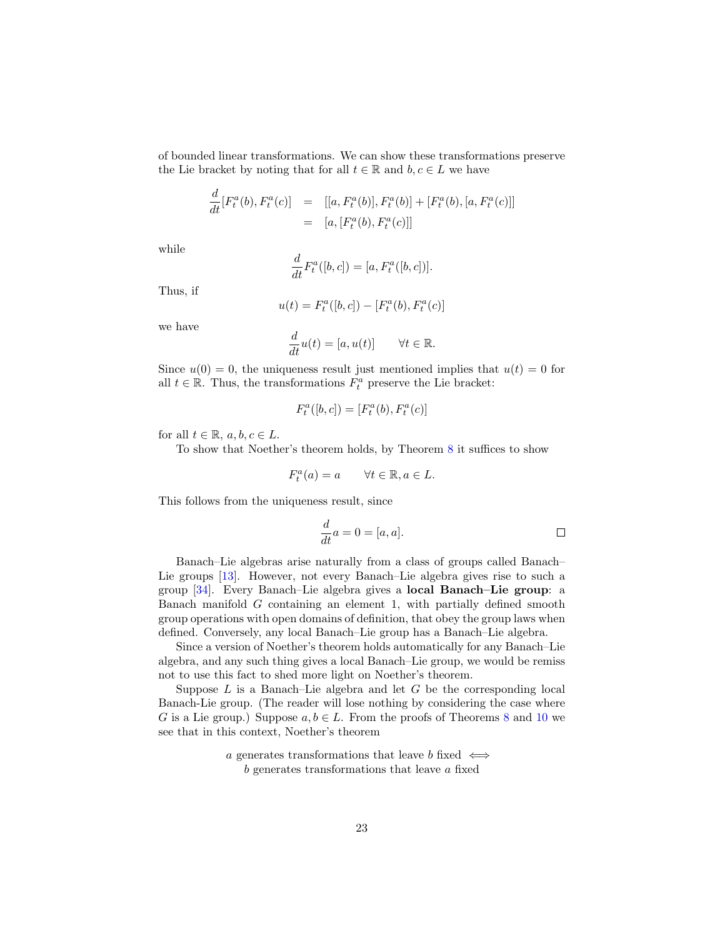<span id="page-22-0"></span>of bounded linear transformations. We can show these transformations preserve the Lie bracket by noting that for all  $t \in \mathbb{R}$  and  $b, c \in L$  we have

$$
\frac{d}{dt}[F_t^a(b), F_t^a(c)] = [[a, F_t^a(b)], F_t^a(b)] + [F_t^a(b), [a, F_t^a(c)]]
$$
  
= [a, [F\_t^a(b), F\_t^a(c)]]

while

$$
\frac{d}{dt}F_t^a([b, c]) = [a, F_t^a([b, c])].
$$

Thus, if

$$
u(t) = F_t^a([b, c]) - [F_t^a(b), F_t^a(c)]
$$

we have

$$
\frac{d}{dt}u(t) = [a, u(t)] \quad \forall t \in \mathbb{R}.
$$

Since  $u(0) = 0$ , the uniqueness result just mentioned implies that  $u(t) = 0$  for all  $t \in \mathbb{R}$ . Thus, the transformations  $F_t^a$  preserve the Lie bracket:

$$
F_t^a([b, c]) = [F_t^a(b), F_t^a(c)]
$$

for all  $t \in \mathbb{R}$ ,  $a, b, c \in L$ .

To show that Noether's theorem holds, by Theorem [8](#page-19-1) it suffices to show

$$
F_t^a(a) = a \qquad \forall t \in \mathbb{R}, a \in L.
$$

This follows from the uniqueness result, since

$$
\frac{d}{dt}a = 0 = [a, a].
$$

Banach–Lie algebras arise naturally from a class of groups called Banach– Lie groups [\[13\]](#page-34-6). However, not every Banach–Lie algebra gives rise to such a group [\[34\]](#page-36-4). Every Banach–Lie algebra gives a local Banach–Lie group: a Banach manifold  $G$  containing an element 1, with partially defined smooth group operations with open domains of definition, that obey the group laws when defined. Conversely, any local Banach–Lie group has a Banach–Lie algebra.

Since a version of Noether's theorem holds automatically for any Banach–Lie algebra, and any such thing gives a local Banach–Lie group, we would be remiss not to use this fact to shed more light on Noether's theorem.

Suppose  $L$  is a Banach–Lie algebra and let  $G$  be the corresponding local Banach-Lie group. (The reader will lose nothing by considering the case where G is a Lie group.) Suppose  $a, b \in L$ . From the proofs of Theorems [8](#page-19-1) and [10](#page-21-0) we see that in this context, Noether's theorem

> a generates transformations that leave b fixed  $\iff$ b generates transformations that leave a fixed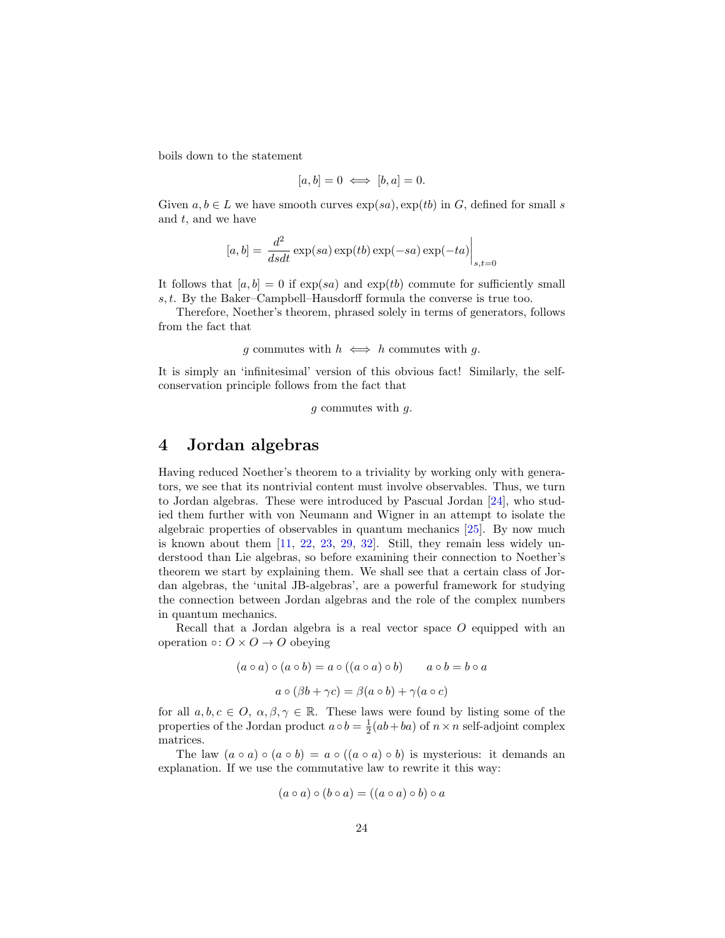<span id="page-23-1"></span>boils down to the statement

$$
[a, b] = 0 \iff [b, a] = 0.
$$

Given  $a, b \in L$  we have smooth curves  $\exp(sa), \exp(tb)$  in G, defined for small s and  $t$ , and we have

$$
[a, b] = \left. \frac{d^2}{dsdt} \exp(sa) \exp(tb) \exp(-sa) \exp(-ta) \right|_{s,t=0}
$$

It follows that  $[a, b] = 0$  if  $\exp(sa)$  and  $\exp(tb)$  commute for sufficiently small s, t. By the Baker–Campbell–Hausdorff formula the converse is true too.

Therefore, Noether's theorem, phrased solely in terms of generators, follows from the fact that

g commutes with  $h \iff h$  commutes with g.

It is simply an 'infinitesimal' version of this obvious fact! Similarly, the selfconservation principle follows from the fact that

g commutes with g.

## <span id="page-23-0"></span>4 Jordan algebras

Having reduced Noether's theorem to a triviality by working only with generators, we see that its nontrivial content must involve observables. Thus, we turn to Jordan algebras. These were introduced by Pascual Jordan [\[24\]](#page-35-7), who studied them further with von Neumann and Wigner in an attempt to isolate the algebraic properties of observables in quantum mechanics [\[25\]](#page-35-8). By now much is known about them  $[11, 22, 23, 29, 32]$  $[11, 22, 23, 29, 32]$  $[11, 22, 23, 29, 32]$  $[11, 22, 23, 29, 32]$  $[11, 22, 23, 29, 32]$  $[11, 22, 23, 29, 32]$  $[11, 22, 23, 29, 32]$  $[11, 22, 23, 29, 32]$  $[11, 22, 23, 29, 32]$ . Still, they remain less widely understood than Lie algebras, so before examining their connection to Noether's theorem we start by explaining them. We shall see that a certain class of Jordan algebras, the 'unital JB-algebras', are a powerful framework for studying the connection between Jordan algebras and the role of the complex numbers in quantum mechanics.

Recall that a Jordan algebra is a real vector space  $O$  equipped with an operation  $\circ: O \times O \rightarrow O$  obeying

$$
(a \circ a) \circ (a \circ b) = a \circ ((a \circ a) \circ b) \qquad a \circ b = b \circ a
$$

$$
a \circ (\beta b + \gamma c) = \beta(a \circ b) + \gamma(a \circ c)
$$

for all  $a, b, c \in O$ ,  $\alpha, \beta, \gamma \in \mathbb{R}$ . These laws were found by listing some of the properties of the Jordan product  $a \circ b = \frac{1}{2}(ab + ba)$  of  $n \times n$  self-adjoint complex matrices.

The law  $(a \circ a) \circ (a \circ b) = a \circ ((a \circ a) \circ b)$  is mysterious: it demands an explanation. If we use the commutative law to rewrite it this way:

$$
(a \circ a) \circ (b \circ a) = ((a \circ a) \circ b) \circ a
$$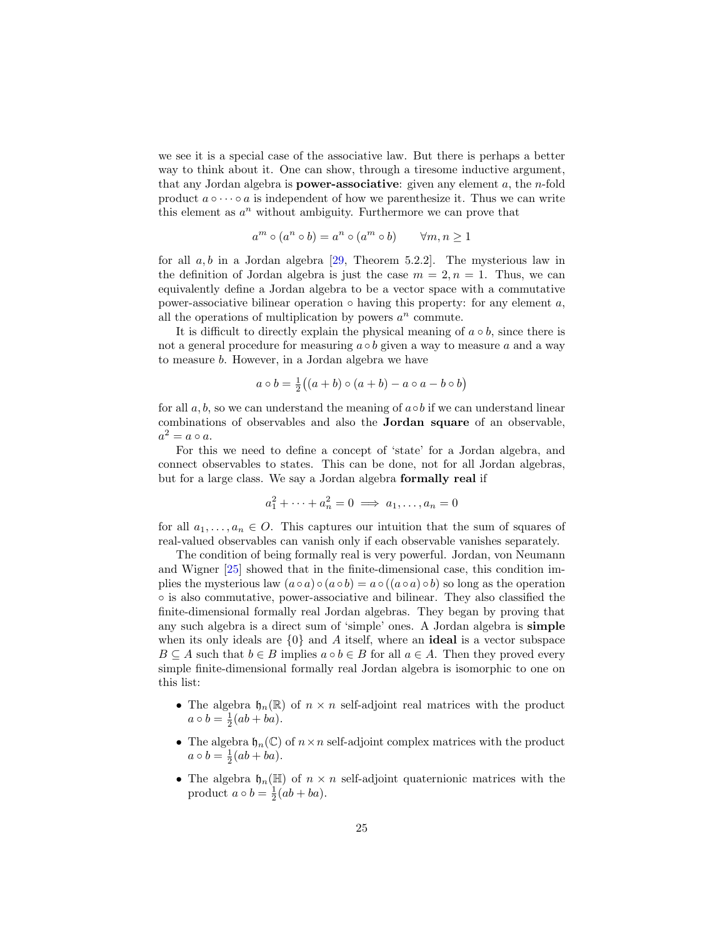<span id="page-24-0"></span>we see it is a special case of the associative law. But there is perhaps a better way to think about it. One can show, through a tiresome inductive argument, that any Jordan algebra is **power-associative**: given any element  $a$ , the *n*-fold product  $a \circ \cdots \circ a$  is independent of how we parenthesize it. Thus we can write this element as  $a^n$  without ambiguity. Furthermore we can prove that

$$
a^m \circ (a^n \circ b) = a^n \circ (a^m \circ b) \qquad \forall m, n \ge 1
$$

for all  $a, b$  in a Jordan algebra [\[29,](#page-36-5) Theorem 5.2.2]. The mysterious law in the definition of Jordan algebra is just the case  $m = 2, n = 1$ . Thus, we can equivalently define a Jordan algebra to be a vector space with a commutative power-associative bilinear operation  $\circ$  having this property: for any element a, all the operations of multiplication by powers  $a^n$  commute.

It is difficult to directly explain the physical meaning of  $a \circ b$ , since there is not a general procedure for measuring  $a \circ b$  given a way to measure a and a way to measure b. However, in a Jordan algebra we have

$$
a \circ b = \frac{1}{2}((a+b) \circ (a+b) - a \circ a - b \circ b)
$$

for all  $a, b$ , so we can understand the meaning of  $a \circ b$  if we can understand linear combinations of observables and also the Jordan square of an observable,  $a^2 = a \circ a.$ 

For this we need to define a concept of 'state' for a Jordan algebra, and connect observables to states. This can be done, not for all Jordan algebras, but for a large class. We say a Jordan algebra formally real if

$$
a_1^2 + \dots + a_n^2 = 0 \implies a_1, \dots, a_n = 0
$$

for all  $a_1, \ldots, a_n \in O$ . This captures our intuition that the sum of squares of real-valued observables can vanish only if each observable vanishes separately.

The condition of being formally real is very powerful. Jordan, von Neumann and Wigner [\[25\]](#page-35-8) showed that in the finite-dimensional case, this condition implies the mysterious law  $(a \circ a) \circ (a \circ b) = a \circ ((a \circ a) \circ b)$  so long as the operation ◦ is also commutative, power-associative and bilinear. They also classified the finite-dimensional formally real Jordan algebras. They began by proving that any such algebra is a direct sum of 'simple' ones. A Jordan algebra is simple when its only ideals are  $\{0\}$  and A itself, where an **ideal** is a vector subspace  $B \subseteq A$  such that  $b \in B$  implies  $a \circ b \in B$  for all  $a \in A$ . Then they proved every simple finite-dimensional formally real Jordan algebra is isomorphic to one on this list:

- The algebra  $\mathfrak{h}_n(\mathbb{R})$  of  $n \times n$  self-adjoint real matrices with the product  $a \circ b = \frac{1}{2}(ab + ba).$
- The algebra  $\mathfrak{h}_n(\mathbb{C})$  of  $n \times n$  self-adjoint complex matrices with the product  $a \circ b = \frac{1}{2}(ab + ba).$
- The algebra  $\mathfrak{h}_n(\mathbb{H})$  of  $n \times n$  self-adjoint quaternionic matrices with the product  $a \circ b = \frac{1}{2}(ab + ba)$ .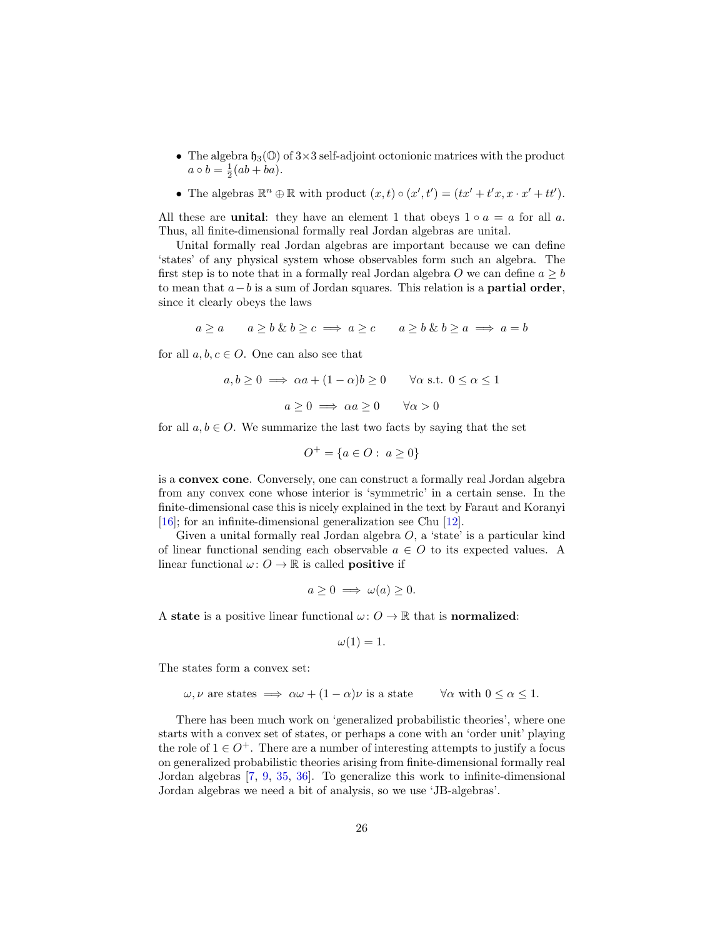- <span id="page-25-0"></span>• The algebra  $\mathfrak{h}_3(\mathbb{O})$  of  $3\times 3$  self-adjoint octonionic matrices with the product  $a \circ b = \frac{1}{2}(ab + ba).$
- The algebras  $\mathbb{R}^n \oplus \mathbb{R}$  with product  $(x, t) \circ (x', t') = (tx' + t'x, x \cdot x' + tt')$ .

All these are **unital**: they have an element 1 that obeys  $1 \circ a = a$  for all a. Thus, all finite-dimensional formally real Jordan algebras are unital.

Unital formally real Jordan algebras are important because we can define 'states' of any physical system whose observables form such an algebra. The first step is to note that in a formally real Jordan algebra O we can define  $a \geq b$ to mean that  $a - b$  is a sum of Jordan squares. This relation is a **partial order**, since it clearly obeys the laws

$$
a \ge a \qquad a \ge b \& b \ge c \implies a \ge c \qquad a \ge b \& b \ge a \implies a = b
$$

for all  $a, b, c \in O$ . One can also see that

$$
a, b \ge 0 \implies \alpha a + (1 - \alpha)b \ge 0 \qquad \forall \alpha \text{ s.t. } 0 \le \alpha \le 1
$$

$$
a \ge 0 \implies \alpha a \ge 0 \qquad \forall \alpha > 0
$$

for all  $a, b \in O$ . We summarize the last two facts by saying that the set

$$
O^+ = \{ a \in O : \ a \ge 0 \}
$$

is a convex cone. Conversely, one can construct a formally real Jordan algebra from any convex cone whose interior is 'symmetric' in a certain sense. In the finite-dimensional case this is nicely explained in the text by Faraut and Koranyi [\[16\]](#page-35-11); for an infinite-dimensional generalization see Chu [\[12\]](#page-34-8).

Given a unital formally real Jordan algebra  $O$ , a 'state' is a particular kind of linear functional sending each observable  $a \in O$  to its expected values. A linear functional  $\omega: O \to \mathbb{R}$  is called **positive** if

$$
a \ge 0 \implies \omega(a) \ge 0.
$$

A state is a positive linear functional  $\omega: O \to \mathbb{R}$  that is normalized:

$$
\omega(1)=1.
$$

The states form a convex set:

$$
\omega, \nu
$$
 are states  $\implies \alpha \omega + (1 - \alpha)\nu$  is a state  $\forall \alpha$  with  $0 \le \alpha \le 1$ .

There has been much work on 'generalized probabilistic theories', where one starts with a convex set of states, or perhaps a cone with an 'order unit' playing the role of  $1 \in O^+$ . There are a number of interesting attempts to justify a focus on generalized probabilistic theories arising from finite-dimensional formally real Jordan algebras [\[7,](#page-34-9) [9,](#page-34-10) [35,](#page-36-7) [36\]](#page-36-8). To generalize this work to infinite-dimensional Jordan algebras we need a bit of analysis, so we use 'JB-algebras'.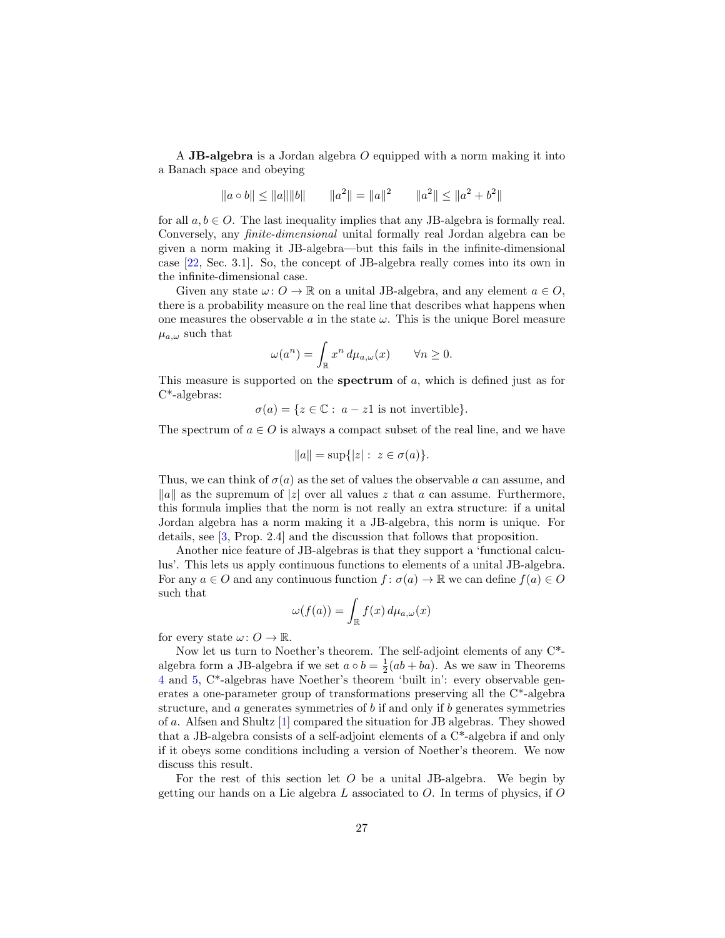<span id="page-26-0"></span>A JB-algebra is a Jordan algebra  $O$  equipped with a norm making it into a Banach space and obeying

$$
\|a \circ b\| \le \|a\| \|b\| \qquad \|a^2\| = \|a\|^2 \qquad \|a^2\| \le \|a^2 + b^2\|
$$

for all  $a, b \in O$ . The last inequality implies that any JB-algebra is formally real. Conversely, any finite-dimensional unital formally real Jordan algebra can be given a norm making it JB-algebra—but this fails in the infinite-dimensional case [\[22,](#page-35-9) Sec. 3.1]. So, the concept of JB-algebra really comes into its own in the infinite-dimensional case.

Given any state  $\omega: O \to \mathbb{R}$  on a unital JB-algebra, and any element  $a \in O$ , there is a probability measure on the real line that describes what happens when one measures the observable  $a$  in the state  $\omega$ . This is the unique Borel measure  $\mu_{a,\omega}$  such that

$$
\omega(a^n) = \int_{\mathbb{R}} x^n \, d\mu_{a,\omega}(x) \qquad \forall n \ge 0.
$$

This measure is supported on the **spectrum** of  $a$ , which is defined just as for C\*-algebras:

 $\sigma(a) = \{z \in \mathbb{C} : a - z1 \text{ is not invertible}\}.$ 

The spectrum of  $a \in O$  is always a compact subset of the real line, and we have

$$
||a|| = \sup\{|z| : z \in \sigma(a)\}.
$$

Thus, we can think of  $\sigma(a)$  as the set of values the observable a can assume, and ||a|| as the supremum of |z| over all values z that a can assume. Furthermore, this formula implies that the norm is not really an extra structure: if a unital Jordan algebra has a norm making it a JB-algebra, this norm is unique. For details, see [\[3,](#page-34-11) Prop. 2.4] and the discussion that follows that proposition.

Another nice feature of JB-algebras is that they support a 'functional calculus'. This lets us apply continuous functions to elements of a unital JB-algebra. For any  $a \in O$  and any continuous function  $f : \sigma(a) \to \mathbb{R}$  we can define  $f(a) \in O$ such that

$$
\omega(f(a)) = \int_{\mathbb{R}} f(x) d\mu_{a,\omega}(x)
$$

for every state  $\omega: O \to \mathbb{R}$ .

Now let us turn to Noether's theorem. The self-adjoint elements of any C\* algebra form a JB-algebra if we set  $a \circ b = \frac{1}{2}(ab + ba)$ . As we saw in Theorems [4](#page-14-0) and [5,](#page-15-0) C\*-algebras have Noether's theorem 'built in': every observable generates a one-parameter group of transformations preserving all the C\*-algebra structure, and  $\alpha$  generates symmetries of  $\delta$  if and only if  $\delta$  generates symmetries of a. Alfsen and Shultz [\[1\]](#page-34-1) compared the situation for JB algebras. They showed that a JB-algebra consists of a self-adjoint elements of a C\*-algebra if and only if it obeys some conditions including a version of Noether's theorem. We now discuss this result.

For the rest of this section let  $O$  be a unital JB-algebra. We begin by getting our hands on a Lie algebra  $L$  associated to  $O$ . In terms of physics, if  $O$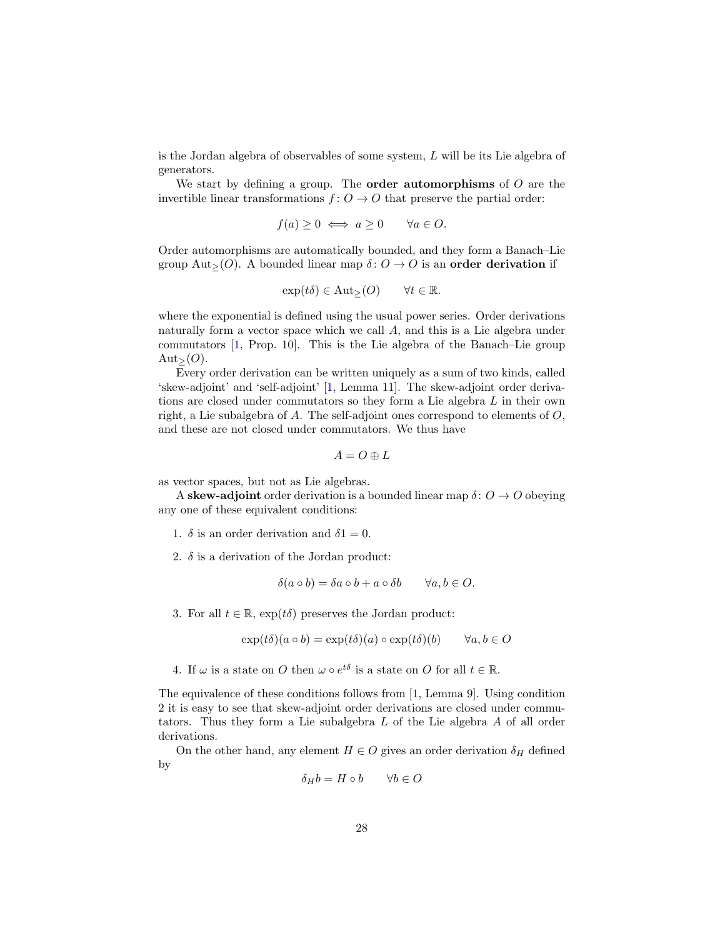<span id="page-27-0"></span>is the Jordan algebra of observables of some system, L will be its Lie algebra of generators.

We start by defining a group. The **order automorphisms** of  $O$  are the invertible linear transformations  $f: O \to O$  that preserve the partial order:

$$
f(a) \ge 0 \iff a \ge 0 \qquad \forall a \in O.
$$

Order automorphisms are automatically bounded, and they form a Banach–Lie group Aut> $(O)$ . A bounded linear map  $\delta: O \to O$  is an order derivation if

$$
\exp(t\delta) \in \text{Aut}_{\geq}(O) \qquad \forall t \in \mathbb{R}.
$$

where the exponential is defined using the usual power series. Order derivations naturally form a vector space which we call A, and this is a Lie algebra under commutators [\[1,](#page-34-1) Prop. 10]. This is the Lie algebra of the Banach–Lie group  $\text{Aut}_{\geq}(O)$ .

Every order derivation can be written uniquely as a sum of two kinds, called 'skew-adjoint' and 'self-adjoint' [\[1,](#page-34-1) Lemma 11]. The skew-adjoint order derivations are closed under commutators so they form a Lie algebra L in their own right, a Lie subalgebra of A. The self-adjoint ones correspond to elements of  $O$ , and these are not closed under commutators. We thus have

$$
A=O\oplus L
$$

as vector spaces, but not as Lie algebras.

A skew-adjoint order derivation is a bounded linear map  $\delta: O \to O$  obeying any one of these equivalent conditions:

- 1.  $\delta$  is an order derivation and  $\delta$ 1 = 0.
- 2.  $\delta$  is a derivation of the Jordan product:

$$
\delta(a \circ b) = \delta a \circ b + a \circ \delta b \qquad \forall a, b \in O.
$$

3. For all  $t \in \mathbb{R}$ ,  $\exp(t\delta)$  preserves the Jordan product:

$$
\exp(t\delta)(a \circ b) = \exp(t\delta)(a) \circ \exp(t\delta)(b) \qquad \forall a, b \in O
$$

4. If  $\omega$  is a state on O then  $\omega \circ e^{t\delta}$  is a state on O for all  $t \in \mathbb{R}$ .

The equivalence of these conditions follows from [\[1,](#page-34-1) Lemma 9]. Using condition 2 it is easy to see that skew-adjoint order derivations are closed under commutators. Thus they form a Lie subalgebra L of the Lie algebra A of all order derivations.

On the other hand, any element  $H \in O$  gives an order derivation  $\delta_H$  defined by

$$
\delta_H b = H \circ b \qquad \forall b \in O
$$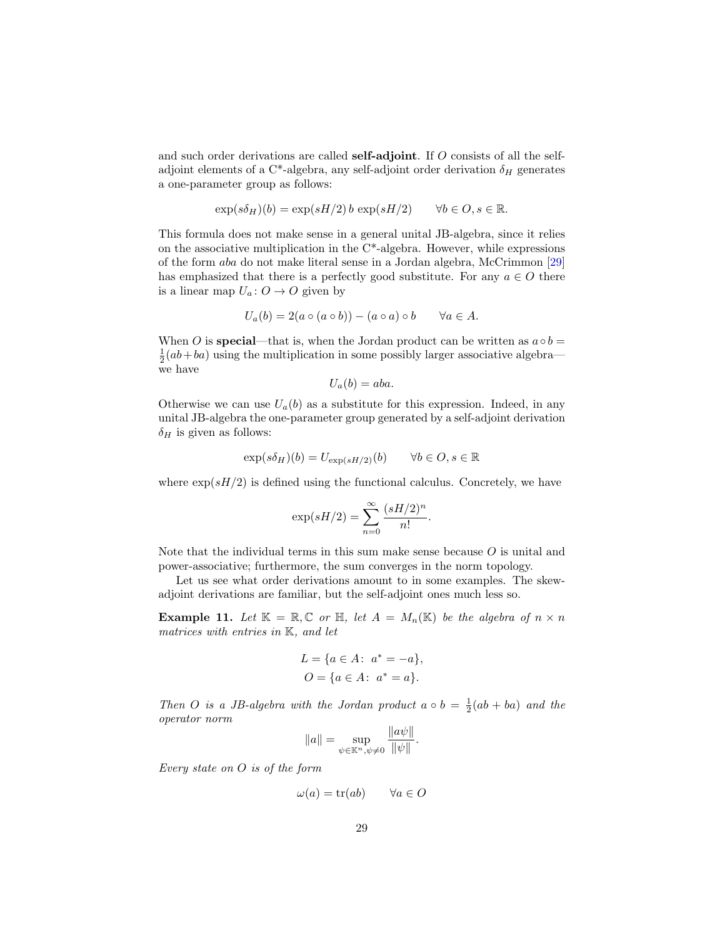<span id="page-28-1"></span>and such order derivations are called **self-adjoint**. If O consists of all the selfadjoint elements of a C\*-algebra, any self-adjoint order derivation  $\delta_H$  generates a one-parameter group as follows:

$$
\exp(s\delta_H)(b) = \exp(sH/2) b \exp(sH/2) \qquad \forall b \in O, s \in \mathbb{R}.
$$

This formula does not make sense in a general unital JB-algebra, since it relies on the associative multiplication in the  $C^*$ -algebra. However, while expressions of the form aba do not make literal sense in a Jordan algebra, McCrimmon [\[29\]](#page-36-5) has emphasized that there is a perfectly good substitute. For any  $a \in O$  there is a linear map  $U_a: O \to O$  given by

$$
U_a(b) = 2(a \circ (a \circ b)) - (a \circ a) \circ b \qquad \forall a \in A.
$$

When O is **special**—that is, when the Jordan product can be written as  $a \circ b =$  $\frac{1}{2}(ab+ba)$  using the multiplication in some possibly larger associative algebra we have

$$
U_a(b) = aba.
$$

Otherwise we can use  $U_a(b)$  as a substitute for this expression. Indeed, in any unital JB-algebra the one-parameter group generated by a self-adjoint derivation  $\delta_H$  is given as follows:

$$
\exp(s\delta_H)(b) = U_{\exp(sH/2)}(b) \qquad \forall b \in O, s \in \mathbb{R}
$$

where  $\exp(sH/2)$  is defined using the functional calculus. Concretely, we have

$$
\exp(sH/2) = \sum_{n=0}^{\infty} \frac{(sH/2)^n}{n!}.
$$

Note that the individual terms in this sum make sense because  $O$  is unital and power-associative; furthermore, the sum converges in the norm topology.

Let us see what order derivations amount to in some examples. The skewadjoint derivations are familiar, but the self-adjoint ones much less so.

<span id="page-28-0"></span>**Example 11.** Let  $\mathbb{K} = \mathbb{R}, \mathbb{C}$  or  $\mathbb{H}$ , let  $A = M_n(\mathbb{K})$  be the algebra of  $n \times n$ matrices with entries in K, and let

$$
L = \{a \in A: \ a^* = -a\},\
$$
  

$$
O = \{a \in A: \ a^* = a\}.
$$

Then O is a JB-algebra with the Jordan product  $a \circ b = \frac{1}{2}(ab + ba)$  and the operator norm

$$
||a|| = \sup_{\psi \in \mathbb{K}^n, \psi \neq 0} \frac{||a\psi||}{||\psi||}.
$$

Every state on O is of the form

$$
\omega(a) = \text{tr}(ab) \qquad \forall a \in O
$$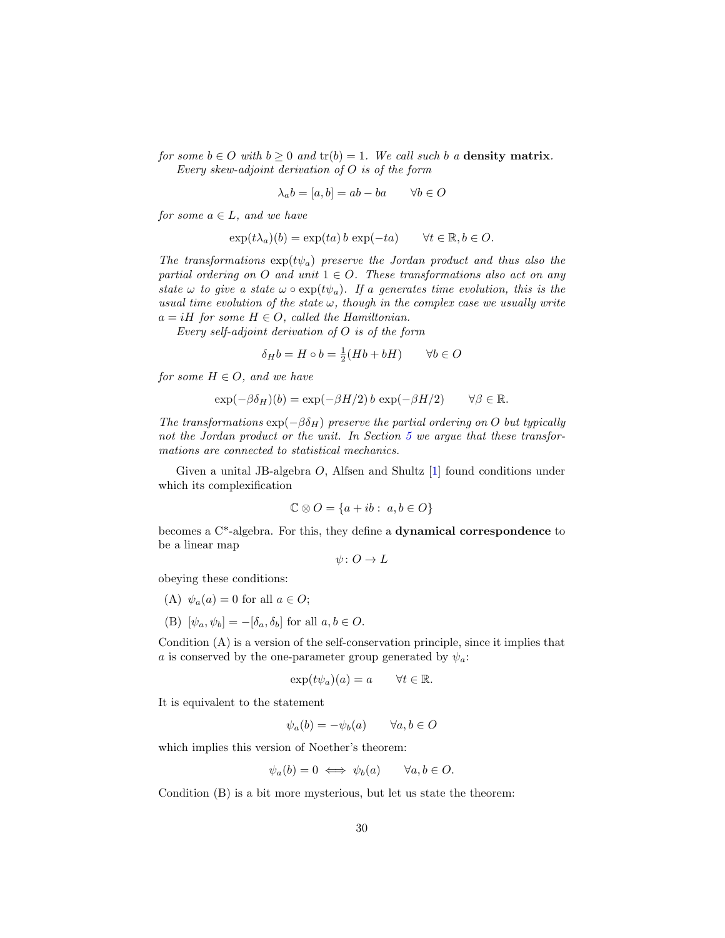<span id="page-29-0"></span>for some  $b \in O$  with  $b \ge 0$  and  $tr(b) = 1$ . We call such b a **density matrix**. Every skew-adjoint derivation of O is of the form

$$
\lambda_a b = [a, b] = ab - ba \qquad \forall b \in O
$$

for some  $a \in L$ , and we have

$$
\exp(t\lambda_a)(b) = \exp(ta)\,b\,\exp(-ta) \qquad \forall t \in \mathbb{R}, b \in O.
$$

The transformations  $\exp(t\psi_a)$  preserve the Jordan product and thus also the partial ordering on O and unit  $1 \in O$ . These transformations also act on any state  $\omega$  to give a state  $\omega \circ \exp(t\psi_a)$ . If a generates time evolution, this is the usual time evolution of the state  $\omega$ , though in the complex case we usually write  $a = iH$  for some  $H \in O$ , called the Hamiltonian.

Every self-adjoint derivation of O is of the form

$$
\delta_H b = H \circ b = \frac{1}{2}(Hb + bH) \qquad \forall b \in O
$$

for some  $H \in O$ , and we have

$$
\exp(-\beta \delta_H)(b) = \exp(-\beta H/2) b \exp(-\beta H/2) \qquad \forall \beta \in \mathbb{R}.
$$

The transformations  $\exp(-\beta \delta_H)$  preserve the partial ordering on O but typically not the Jordan product or the unit. In Section [5](#page-31-0) we argue that these transformations are connected to statistical mechanics.

Given a unital JB-algebra O, Alfsen and Shultz [\[1\]](#page-34-1) found conditions under which its complexification

$$
\mathbb{C} \otimes O = \{a + ib : a, b \in O\}
$$

becomes a C\*-algebra. For this, they define a dynamical correspondence to be a linear map

 $\psi: O \to L$ 

obeying these conditions:

- (A)  $\psi_a(a) = 0$  for all  $a \in O;$
- (B)  $[\psi_a, \psi_b] = -[\delta_a, \delta_b]$  for all  $a, b \in O$ .

Condition (A) is a version of the self-conservation principle, since it implies that a is conserved by the one-parameter group generated by  $\psi_a$ :

$$
\exp(t\psi_a)(a) = a \qquad \forall t \in \mathbb{R}.
$$

It is equivalent to the statement

 $\psi_a(b) = -\psi_b(a) \quad \forall a, b \in O$ 

which implies this version of Noether's theorem:

$$
\psi_a(b) = 0 \iff \psi_b(a) \qquad \forall a, b \in O.
$$

Condition (B) is a bit more mysterious, but let us state the theorem: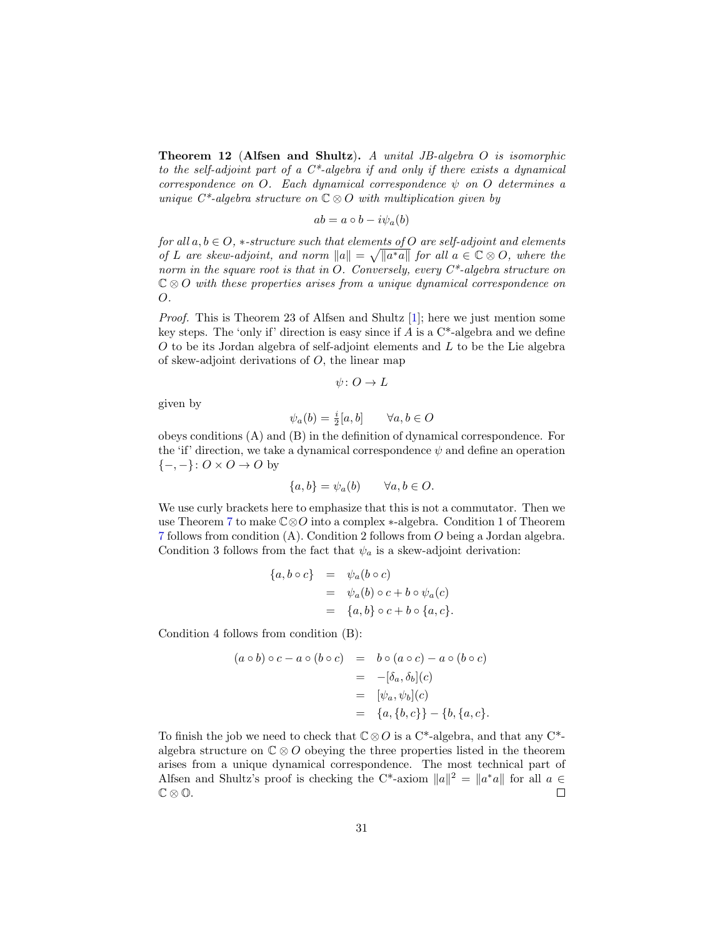<span id="page-30-0"></span>Theorem 12 (Alfsen and Shultz). A unital JB-algebra O is isomorphic to the self-adjoint part of a  $C^*$ -algebra if and only if there exists a dynamical correspondence on O. Each dynamical correspondence  $\psi$  on O determines a unique  $C^*$ -algebra structure on  $\mathbb{C} \otimes O$  with multiplication given by

$$
ab = a \circ b - i\psi_a(b)
$$

for all  $a, b \in O$ ,  $*$ -structure such that elements of O are self-adjoint and elements of L are skew-adjoint, and norm  $||a|| = \sqrt{||a^*a||}$  for all  $a \in \mathbb{C} \otimes O$ , where the norm in the square root is that in O. Conversely, every  $C^*$ -algebra structure on  $\mathbb{C} \otimes O$  with these properties arises from a unique dynamical correspondence on O.

Proof. This is Theorem 23 of Alfsen and Shultz [\[1\]](#page-34-1); here we just mention some key steps. The 'only if' direction is easy since if  $A$  is a  $C^*$ -algebra and we define  $O$  to be its Jordan algebra of self-adjoint elements and  $L$  to be the Lie algebra of skew-adjoint derivations of  $O$ , the linear map

$$
\psi \colon O \to L
$$

given by

$$
\psi_a(b) = \frac{i}{2}[a, b] \qquad \forall a, b \in O
$$

obeys conditions (A) and (B) in the definition of dynamical correspondence. For the 'if' direction, we take a dynamical correspondence  $\psi$  and define an operation  $\{-,-\}: O \times O \to O$  by

$$
\{a, b\} = \psi_a(b) \qquad \forall a, b \in O.
$$

We use curly brackets here to emphasize that this is not a commutator. Then we use Theorem [7](#page-18-0) to make C⊗O into a complex ∗-algebra. Condition 1 of Theorem [7](#page-18-0) follows from condition (A). Condition 2 follows from O being a Jordan algebra. Condition 3 follows from the fact that  $\psi_a$  is a skew-adjoint derivation:

$$
\begin{array}{rcl}\n\{a, b \circ c\} & = & \psi_a(b \circ c) \\
& = & \psi_a(b) \circ c + b \circ \psi_a(c) \\
& = & \{a, b\} \circ c + b \circ \{a, c\}.\n\end{array}
$$

Condition 4 follows from condition (B):

$$
(a \circ b) \circ c - a \circ (b \circ c) = b \circ (a \circ c) - a \circ (b \circ c)
$$
  

$$
= -[\delta_a, \delta_b](c)
$$
  

$$
= [\psi_a, \psi_b](c)
$$
  

$$
= \{a, \{b, c\}\} - \{b, \{a, c\}.
$$

To finish the job we need to check that  $\mathbb{C}\otimes\mathbb{O}$  is a C<sup>\*</sup>-algebra, and that any C<sup>\*</sup>algebra structure on  $\mathbb{C} \otimes O$  obeying the three properties listed in the theorem arises from a unique dynamical correspondence. The most technical part of Alfsen and Shultz's proof is checking the C<sup>\*</sup>-axiom  $||a||^2 = ||a^*a||$  for all  $a \in \mathbb{R}$  $\mathbb{C} \otimes \mathbb{O}$ .  $\Box$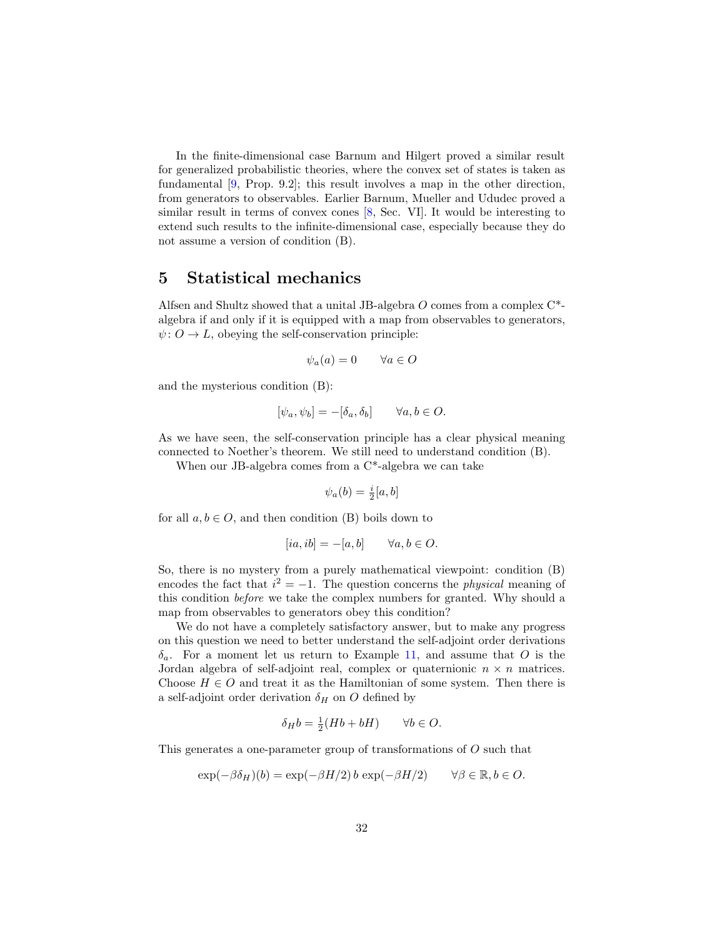<span id="page-31-1"></span>In the finite-dimensional case Barnum and Hilgert proved a similar result for generalized probabilistic theories, where the convex set of states is taken as fundamental [\[9,](#page-34-10) Prop. 9.2]; this result involves a map in the other direction, from generators to observables. Earlier Barnum, Mueller and Ududec proved a similar result in terms of convex cones [\[8,](#page-34-12) Sec. VI]. It would be interesting to extend such results to the infinite-dimensional case, especially because they do not assume a version of condition (B).

### <span id="page-31-0"></span>5 Statistical mechanics

Alfsen and Shultz showed that a unital JB-algebra  $O$  comes from a complex  $C^*$ algebra if and only if it is equipped with a map from observables to generators,  $\psi: O \to L$ , obeying the self-conservation principle:

$$
\psi_a(a) = 0 \qquad \forall a \in O
$$

and the mysterious condition (B):

$$
[\psi_a, \psi_b] = -[\delta_a, \delta_b] \qquad \forall a, b \in O.
$$

As we have seen, the self-conservation principle has a clear physical meaning connected to Noether's theorem. We still need to understand condition (B).

When our JB-algebra comes from a C\*-algebra we can take

$$
\psi_a(b) = \frac{i}{2}[a, b]
$$

for all  $a, b \in O$ , and then condition (B) boils down to

$$
[ia, ib] = -[a, b] \qquad \forall a, b \in O.
$$

So, there is no mystery from a purely mathematical viewpoint: condition (B) encodes the fact that  $i^2 = -1$ . The question concerns the *physical* meaning of this condition before we take the complex numbers for granted. Why should a map from observables to generators obey this condition?

We do not have a completely satisfactory answer, but to make any progress on this question we need to better understand the self-adjoint order derivations  $\delta_a$ . For a moment let us return to Example [11,](#page-28-0) and assume that O is the Jordan algebra of self-adjoint real, complex or quaternionic  $n \times n$  matrices. Choose  $H \in O$  and treat it as the Hamiltonian of some system. Then there is a self-adjoint order derivation  $\delta_H$  on O defined by

$$
\delta_H b = \frac{1}{2}(Hb + bH) \qquad \forall b \in O.
$$

This generates a one-parameter group of transformations of O such that

$$
\exp(-\beta \delta_H)(b) = \exp(-\beta H/2) b \exp(-\beta H/2) \qquad \forall \beta \in \mathbb{R}, b \in O.
$$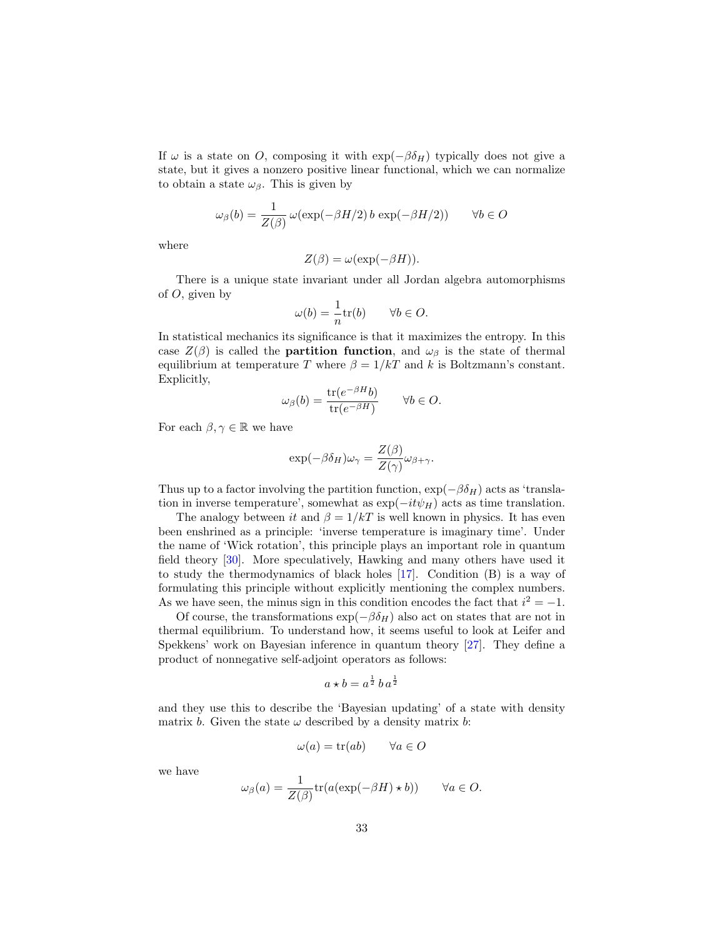<span id="page-32-0"></span>If  $\omega$  is a state on O, composing it with  $\exp(-\beta \delta_H)$  typically does not give a state, but it gives a nonzero positive linear functional, which we can normalize to obtain a state  $\omega_{\beta}$ . This is given by

$$
\omega_{\beta}(b) = \frac{1}{Z(\beta)} \omega(\exp(-\beta H/2) b \exp(-\beta H/2)) \qquad \forall b \in O
$$

where

$$
Z(\beta) = \omega(\exp(-\beta H)).
$$

There is a unique state invariant under all Jordan algebra automorphisms of  $O$ , given by

$$
\omega(b) = \frac{1}{n} \text{tr}(b) \qquad \forall b \in O.
$$

In statistical mechanics its significance is that it maximizes the entropy. In this case  $Z(\beta)$  is called the **partition function**, and  $\omega_{\beta}$  is the state of thermal equilibrium at temperature T where  $\beta = 1/kT$  and k is Boltzmann's constant. Explicitly,

$$
\omega_{\beta}(b) = \frac{\text{tr}(e^{-\beta H}b)}{\text{tr}(e^{-\beta H})} \qquad \forall b \in O.
$$

For each  $\beta, \gamma \in \mathbb{R}$  we have

$$
\exp(-\beta \delta_H)\omega_\gamma = \frac{Z(\beta)}{Z(\gamma)}\omega_{\beta+\gamma}.
$$

Thus up to a factor involving the partition function,  $\exp(-\beta \delta_H)$  acts as 'translation in inverse temperature', somewhat as  $\exp(-it\psi_H)$  acts as time translation.

The analogy between it and  $\beta = 1/kT$  is well known in physics. It has even been enshrined as a principle: 'inverse temperature is imaginary time'. Under the name of 'Wick rotation', this principle plays an important role in quantum field theory [\[30\]](#page-36-9). More speculatively, Hawking and many others have used it to study the thermodynamics of black holes [\[17\]](#page-35-12). Condition (B) is a way of formulating this principle without explicitly mentioning the complex numbers. As we have seen, the minus sign in this condition encodes the fact that  $i^2 = -1$ .

Of course, the transformations  $\exp(-\beta \delta_H)$  also act on states that are not in thermal equilibrium. To understand how, it seems useful to look at Leifer and Spekkens' work on Bayesian inference in quantum theory [\[27\]](#page-35-13). They define a product of nonnegative self-adjoint operators as follows:

$$
a \star b = a^{\frac{1}{2}} b a^{\frac{1}{2}}
$$

and they use this to describe the 'Bayesian updating' of a state with density matrix b. Given the state  $\omega$  described by a density matrix b:

$$
\omega(a) = \text{tr}(ab) \qquad \forall a \in O
$$

we have

$$
\omega_{\beta}(a) = \frac{1}{Z(\beta)} \text{tr}(a(\exp(-\beta H) \star b)) \qquad \forall a \in O.
$$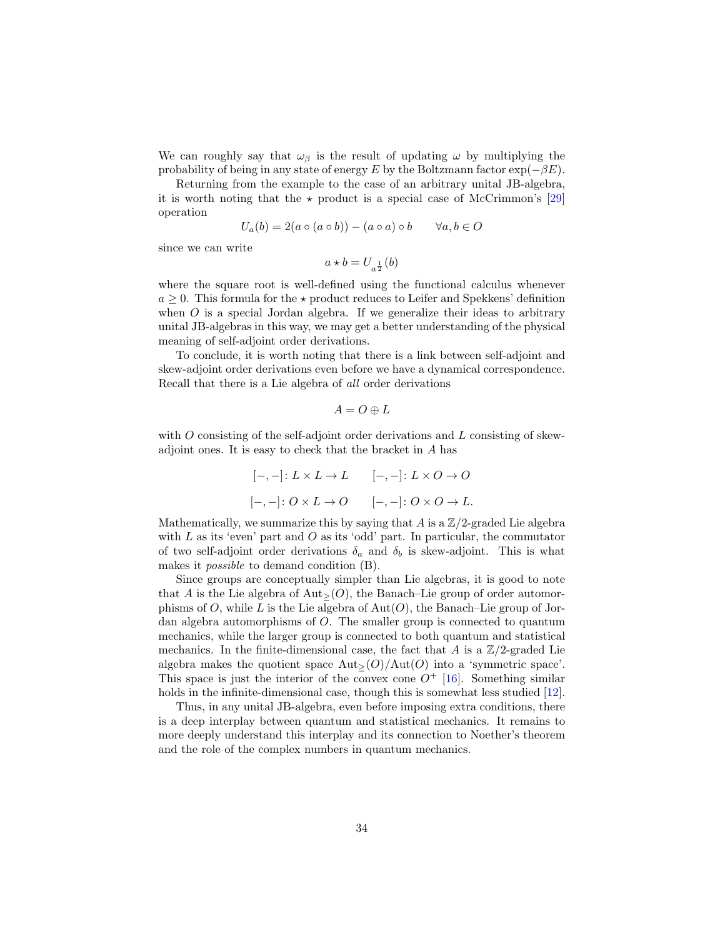<span id="page-33-0"></span>We can roughly say that  $\omega_{\beta}$  is the result of updating  $\omega$  by multiplying the probability of being in any state of energy E by the Boltzmann factor  $\exp(-\beta E)$ .

Returning from the example to the case of an arbitrary unital JB-algebra, it is worth noting that the  $\star$  product is a special case of McCrimmon's [\[29\]](#page-36-5) operation

$$
U_a(b) = 2(a \circ (a \circ b)) - (a \circ a) \circ b \qquad \forall a, b \in O
$$

since we can write

$$
a\star b=U_{a^{\frac{1}{2}}}(b)
$$

where the square root is well-defined using the functional calculus whenever  $a \geq 0$ . This formula for the  $\star$  product reduces to Leifer and Spekkens' definition when  $O$  is a special Jordan algebra. If we generalize their ideas to arbitrary unital JB-algebras in this way, we may get a better understanding of the physical meaning of self-adjoint order derivations.

To conclude, it is worth noting that there is a link between self-adjoint and skew-adjoint order derivations even before we have a dynamical correspondence. Recall that there is a Lie algebra of all order derivations

$$
A=O\oplus L
$$

with  $O$  consisting of the self-adjoint order derivations and  $L$  consisting of skewadjoint ones. It is easy to check that the bracket in A has

$$
[-,-]: L \times L \to L \qquad [-,-]: L \times O \to O
$$

$$
[-,-]: O \times L \to O \qquad [-,-]: O \times O \to L.
$$

Mathematically, we summarize this by saying that A is a  $\mathbb{Z}/2$ -graded Lie algebra with  $L$  as its 'even' part and  $O$  as its 'odd' part. In particular, the commutator of two self-adjoint order derivations  $\delta_a$  and  $\delta_b$  is skew-adjoint. This is what makes it possible to demand condition (B).

Since groups are conceptually simpler than Lie algebras, it is good to note that A is the Lie algebra of  $Aut_>(O)$ , the Banach–Lie group of order automorphisms of O, while L is the Lie algebra of  $Aut(O)$ , the Banach–Lie group of Jordan algebra automorphisms of O. The smaller group is connected to quantum mechanics, while the larger group is connected to both quantum and statistical mechanics. In the finite-dimensional case, the fact that A is a  $\mathbb{Z}/2$ -graded Lie algebra makes the quotient space  $\text{Aut}_{>}(O)/\text{Aut}(O)$  into a 'symmetric space'. This space is just the interior of the convex cone  $O^+$  [\[16\]](#page-35-11). Something similar holds in the infinite-dimensional case, though this is somewhat less studied [\[12\]](#page-34-8).

Thus, in any unital JB-algebra, even before imposing extra conditions, there is a deep interplay between quantum and statistical mechanics. It remains to more deeply understand this interplay and its connection to Noether's theorem and the role of the complex numbers in quantum mechanics.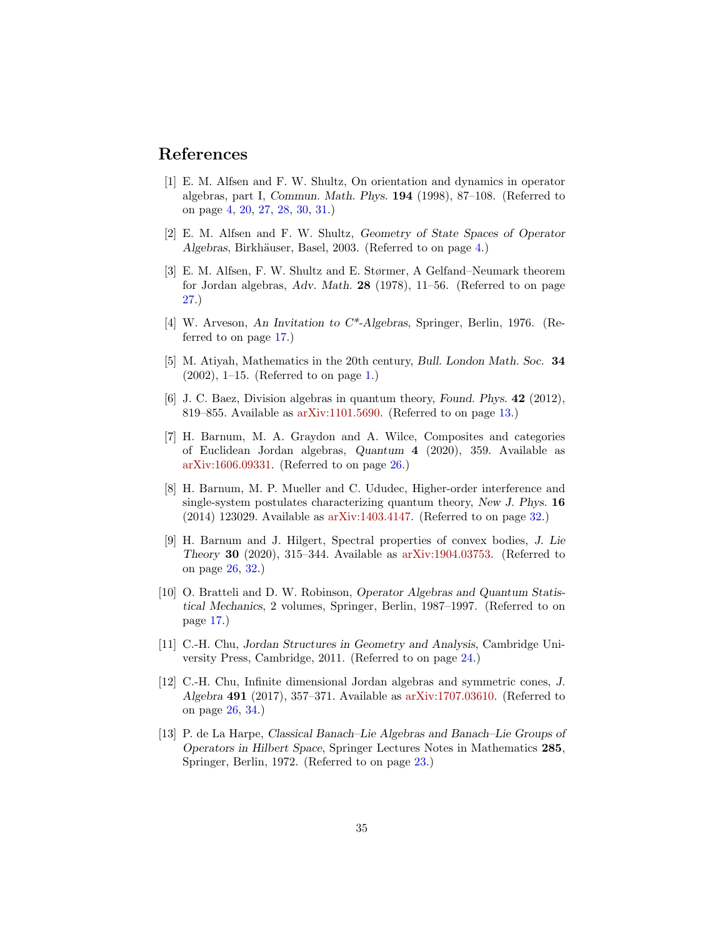## References

- <span id="page-34-1"></span>[1] E. M. Alfsen and F. W. Shultz, On orientation and dynamics in operator algebras, part I, Commun. Math. Phys. 194 (1998), 87–108. (Referred to on page [4,](#page-3-0) [20,](#page-19-2) [27,](#page-26-0) [28,](#page-27-0) [30,](#page-29-0) [31.](#page-30-0))
- <span id="page-34-2"></span>[2] E. M. Alfsen and F. W. Shultz, Geometry of State Spaces of Operator Algebras, Birkhäuser, Basel, 2003. (Referred to on page [4.](#page-3-0))
- <span id="page-34-11"></span>[3] E. M. Alfsen, F. W. Shultz and E. Størmer, A Gelfand–Neumark theorem for Jordan algebras, Adv. Math. 28 (1978), 11–56. (Referred to on page [27.](#page-26-0))
- <span id="page-34-4"></span>[4] W. Arveson, An Invitation to C\*-Algebras, Springer, Berlin, 1976. (Referred to on page [17.](#page-16-0))
- <span id="page-34-0"></span>[5] M. Atiyah, Mathematics in the 20th century, Bull. London Math. Soc. 34 (2002), 1–15. (Referred to on page [1.](#page-0-0))
- <span id="page-34-3"></span>[6] J. C. Baez, Division algebras in quantum theory, Found. Phys. 42 (2012), 819–855. Available as [arXiv:1101.5690.](https://arxiv.org/abs/1101.5690) (Referred to on page [13.](#page-12-0))
- <span id="page-34-9"></span>[7] H. Barnum, M. A. Graydon and A. Wilce, Composites and categories of Euclidean Jordan algebras, Quantum 4 (2020), 359. Available as [arXiv:1606.09331.](https://arxiv.org/abs/1606.09331) (Referred to on page [26.](#page-25-0))
- <span id="page-34-12"></span>[8] H. Barnum, M. P. Mueller and C. Ududec, Higher-order interference and single-system postulates characterizing quantum theory, New J. Phys. 16 (2014) 123029. Available as [arXiv:1403.4147.](https://arxiv.org/abs/1403.4147) (Referred to on page [32.](#page-31-1))
- <span id="page-34-10"></span>[9] H. Barnum and J. Hilgert, Spectral properties of convex bodies, J. Lie Theory 30 (2020), 315–344. Available as [arXiv:1904.03753.](https://arxiv.org/abs/1904.03753) (Referred to on page [26,](#page-25-0) [32.](#page-31-1))
- <span id="page-34-5"></span>[10] O. Bratteli and D. W. Robinson, Operator Algebras and Quantum Statistical Mechanics, 2 volumes, Springer, Berlin, 1987–1997. (Referred to on page [17.](#page-16-0))
- <span id="page-34-7"></span>[11] C.-H. Chu, Jordan Structures in Geometry and Analysis, Cambridge University Press, Cambridge, 2011. (Referred to on page [24.](#page-23-1))
- <span id="page-34-8"></span>[12] C.-H. Chu, Infinite dimensional Jordan algebras and symmetric cones, J. Algebra 491 (2017), 357–371. Available as [arXiv:1707.03610.](https://arxiv.org/abs/1707.03610) (Referred to on page [26,](#page-25-0) [34.](#page-33-0))
- <span id="page-34-6"></span>[13] P. de La Harpe, Classical Banach–Lie Algebras and Banach–Lie Groups of Operators in Hilbert Space, Springer Lectures Notes in Mathematics 285, Springer, Berlin, 1972. (Referred to on page [23.](#page-22-0))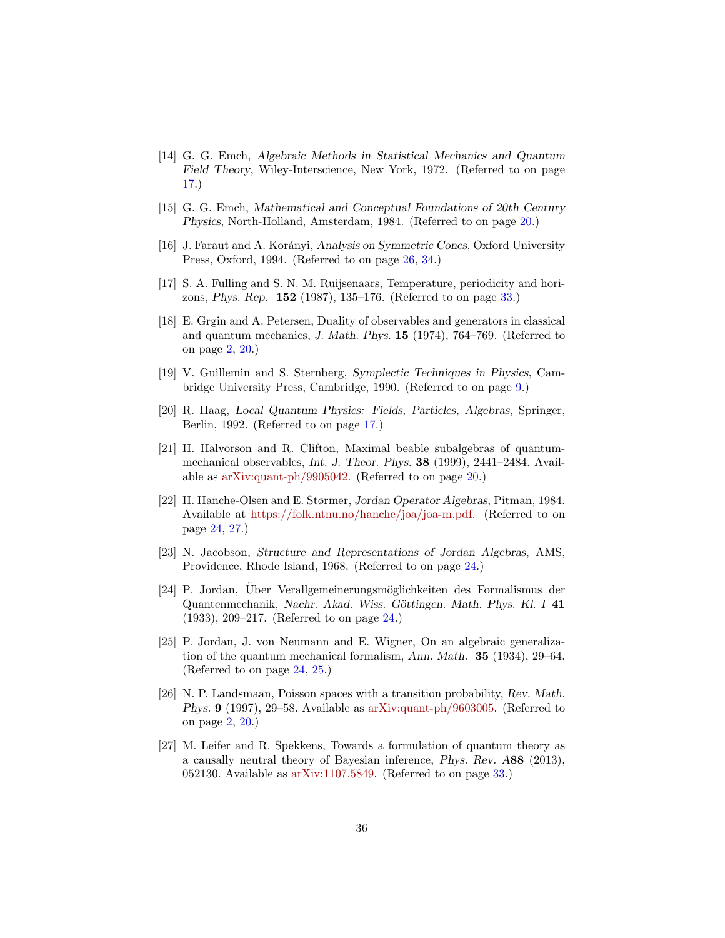- <span id="page-35-3"></span>[14] G. G. Emch, Algebraic Methods in Statistical Mechanics and Quantum Field Theory, Wiley-Interscience, New York, 1972. (Referred to on page [17.](#page-16-0))
- <span id="page-35-5"></span>[15] G. G. Emch, Mathematical and Conceptual Foundations of 20th Century Physics, North-Holland, Amsterdam, 1984. (Referred to on page [20.](#page-19-2))
- <span id="page-35-11"></span>[16] J. Faraut and A. Korányi, Analysis on Symmetric Cones, Oxford University Press, Oxford, 1994. (Referred to on page [26,](#page-25-0) [34.](#page-33-0))
- <span id="page-35-12"></span>[17] S. A. Fulling and S. N. M. Ruijsenaars, Temperature, periodicity and horizons, Phys. Rep. 152 (1987), 135–176. (Referred to on page [33.](#page-32-0))
- <span id="page-35-0"></span>[18] E. Grgin and A. Petersen, Duality of observables and generators in classical and quantum mechanics, J. Math. Phys. 15 (1974), 764–769. (Referred to on page [2,](#page-1-0) [20.](#page-19-2))
- <span id="page-35-2"></span>[19] V. Guillemin and S. Sternberg, Symplectic Techniques in Physics, Cambridge University Press, Cambridge, 1990. (Referred to on page [9.](#page-8-1))
- <span id="page-35-4"></span>[20] R. Haag, Local Quantum Physics: Fields, Particles, Algebras, Springer, Berlin, 1992. (Referred to on page [17.](#page-16-0))
- <span id="page-35-6"></span>[21] H. Halvorson and R. Clifton, Maximal beable subalgebras of quantummechanical observables, Int. J. Theor. Phys. 38 (1999), 2441–2484. Available as [arXiv:quant-ph/9905042.](https://arxiv.org/abs/quant-ph/9905042) (Referred to on page [20.](#page-19-2))
- <span id="page-35-9"></span>[22] H. Hanche-Olsen and E. Størmer, Jordan Operator Algebras, Pitman, 1984. Available at [https://folk.ntnu.no/hanche/joa/joa-m.pdf.](https://folk.ntnu.no/hanche/joa/joa-m.pdf) (Referred to on page [24,](#page-23-1) [27.](#page-26-0))
- <span id="page-35-10"></span>[23] N. Jacobson, Structure and Representations of Jordan Algebras, AMS, Providence, Rhode Island, 1968. (Referred to on page [24.](#page-23-1))
- <span id="page-35-7"></span>[24] P. Jordan, Über Verallgemeinerungsmöglichkeiten des Formalismus der Quantenmechanik, Nachr. Akad. Wiss. Göttingen. Math. Phys. Kl. I 41 (1933), 209–217. (Referred to on page [24.](#page-23-1))
- <span id="page-35-8"></span>[25] P. Jordan, J. von Neumann and E. Wigner, On an algebraic generalization of the quantum mechanical formalism, Ann. Math. 35 (1934), 29–64. (Referred to on page [24,](#page-23-1) [25.](#page-24-0))
- <span id="page-35-1"></span>[26] N. P. Landsmaan, Poisson spaces with a transition probability, Rev. Math. Phys. 9 (1997), 29–58. Available as [arXiv:quant-ph/9603005.](https://arxiv.org/abs/quant-ph/9603005) (Referred to on page [2,](#page-1-0) [20.](#page-19-2))
- <span id="page-35-13"></span>[27] M. Leifer and R. Spekkens, Towards a formulation of quantum theory as a causally neutral theory of Bayesian inference, Phys. Rev. A88 (2013), 052130. Available as [arXiv:1107.5849.](https://arxiv.org/abs/1107.5849) (Referred to on page [33.](#page-32-0))